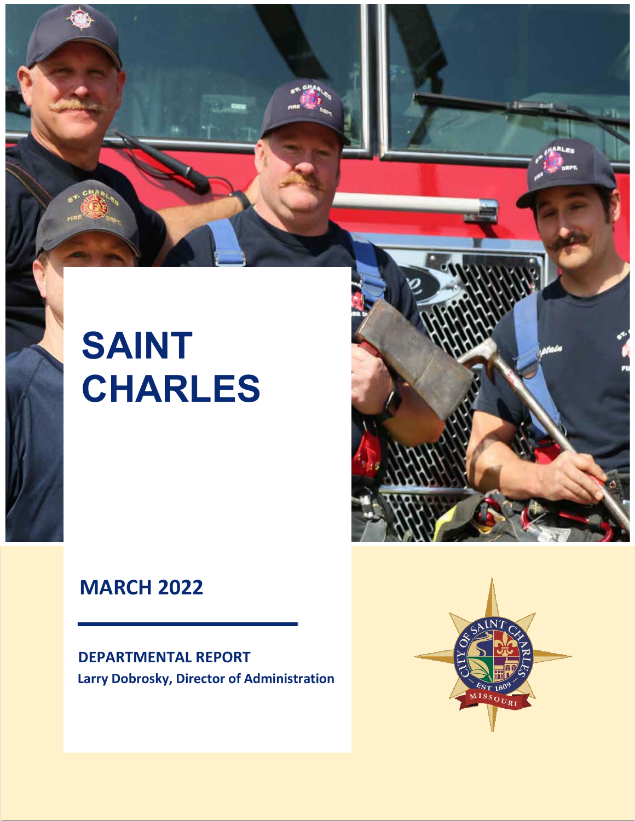# **SAINT CHARLES**

# **MARCH 2022**

**DEPARTMENTAL REPORT Larry Dobrosky, Director of Administration**



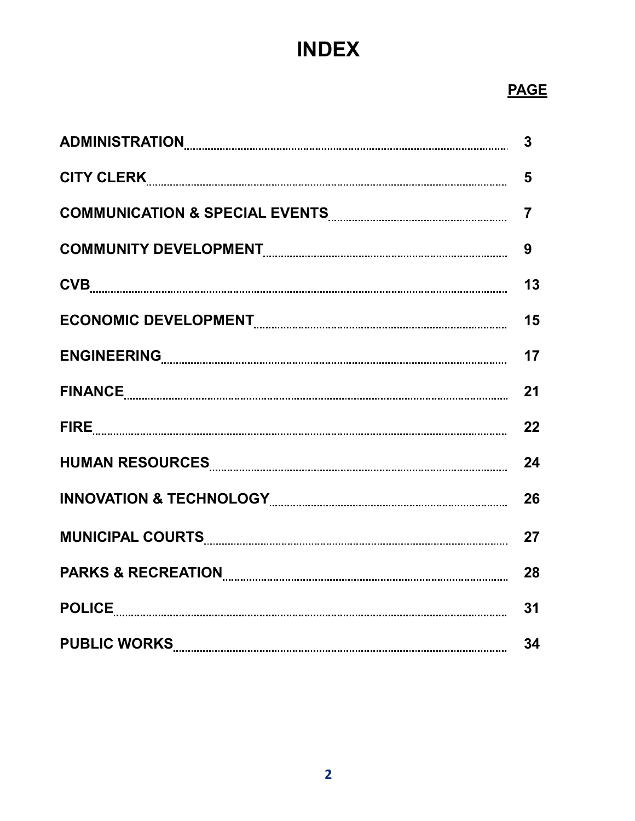# **INDEX**

## *PAGE AND RESERVE AND RESERVE AND RESERVE AND RESERVE AND RESERVE AND RESERVE*

|                                                                                                               | 3              |
|---------------------------------------------------------------------------------------------------------------|----------------|
|                                                                                                               | 5              |
|                                                                                                               | $\overline{7}$ |
|                                                                                                               | 9              |
|                                                                                                               | 13             |
|                                                                                                               | 15             |
|                                                                                                               | 17             |
|                                                                                                               | 21             |
|                                                                                                               | 22             |
|                                                                                                               | 24             |
|                                                                                                               | 26             |
| MUNICIPAL COURTS Entertainment and the court of the court of the court of the court of the court of the court | 27             |
|                                                                                                               | 28             |
|                                                                                                               | 31             |
| PUBLIC WORKS PUBLIC WORKS                                                                                     | 34             |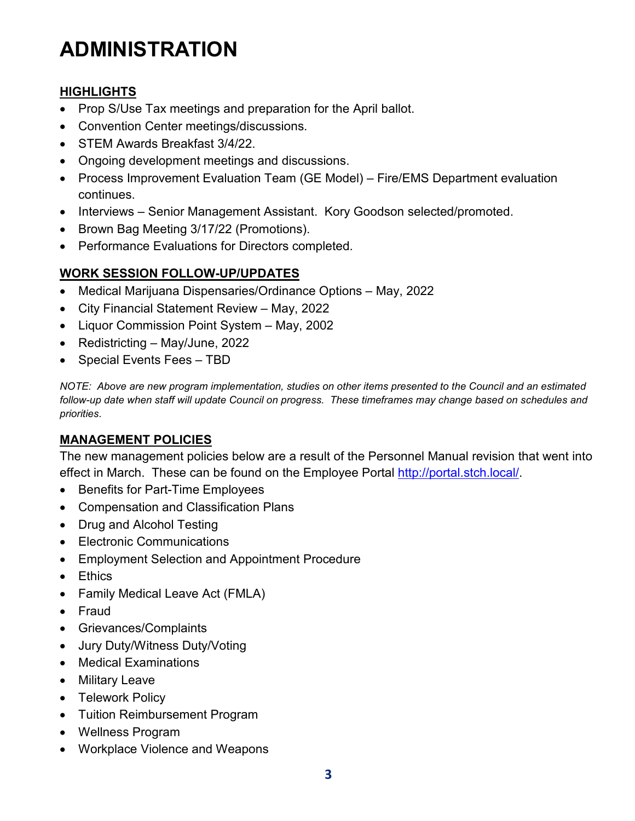# **ADMINISTRATION**

### **HIGHLIGHTS**

- Prop S/Use Tax meetings and preparation for the April ballot.
- Convention Center meetings/discussions.
- STEM Awards Breakfast 3/4/22.
- Ongoing development meetings and discussions.
- Process Improvement Evaluation Team (GE Model) Fire/EMS Department evaluation continues.
- Interviews Senior Management Assistant. Kory Goodson selected/promoted.
- Brown Bag Meeting 3/17/22 (Promotions).
- Performance Evaluations for Directors completed.

### **WORK SESSION FOLLOW-UP/UPDATES**

- Medical Marijuana Dispensaries/Ordinance Options May, 2022
- City Financial Statement Review May, 2022
- Liquor Commission Point System May, 2002
- Redistricting May/June, 2022
- Special Events Fees TBD

*NOTE: Above are new program implementation, studies on other items presented to the Council and an estimated follow-up date when staff will update Council on progress. These timeframes may change based on schedules and priorities*.

### **MANAGEMENT POLICIES**

The new management policies below are a result of the Personnel Manual revision that went into effect in March. These can be found on the Employee Portal [http://portal.stch.local/.](http://portal.stch.local/)

- Benefits for Part-Time Employees
- Compensation and Classification Plans
- Drug and Alcohol Testing
- Electronic Communications
- Employment Selection and Appointment Procedure
- Ethics
- Family Medical Leave Act (FMLA)
- Fraud
- Grievances/Complaints
- Jury Duty/Witness Duty/Voting
- Medical Examinations
- Military Leave
- Telework Policy
- Tuition Reimbursement Program
- Wellness Program
- Workplace Violence and Weapons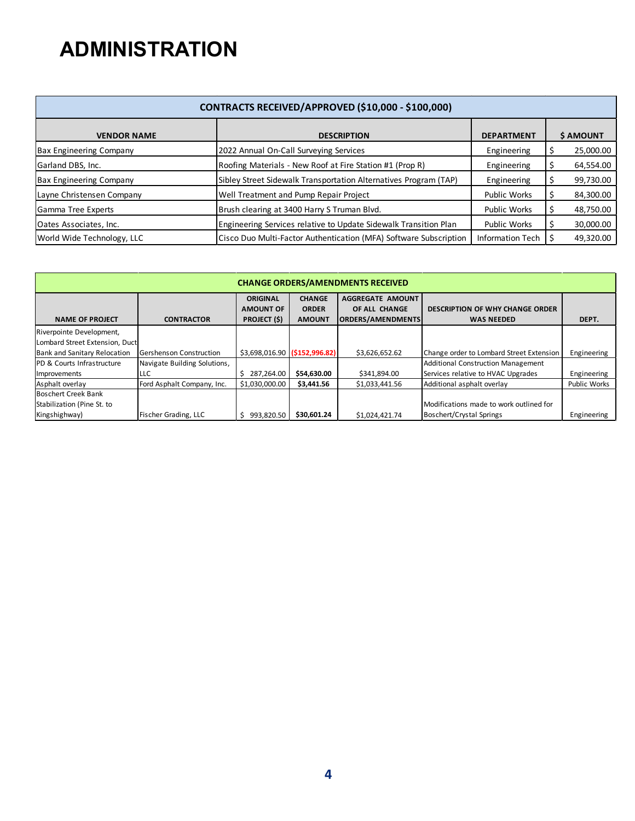# **ADMINISTRATION**

|                                | CONTRACTS RECEIVED/APPROVED (\$10,000 - \$100,000)                |                     |   |           |
|--------------------------------|-------------------------------------------------------------------|---------------------|---|-----------|
| <b>VENDOR NAME</b>             | <b>DESCRIPTION</b>                                                | <b>DEPARTMENT</b>   |   | \$ AMOUNT |
| <b>Bax Engineering Company</b> | 2022 Annual On-Call Surveying Services                            | Engineering         |   | 25,000.00 |
| Garland DBS, Inc.              | Roofing Materials - New Roof at Fire Station #1 (Prop R)          | Engineering         |   | 64,554.00 |
| <b>Bax Engineering Company</b> | Sibley Street Sidewalk Transportation Alternatives Program (TAP)  | Engineering         | ÷ | 99,730.00 |
| Layne Christensen Company      | Well Treatment and Pump Repair Project                            | <b>Public Works</b> |   | 84,300.00 |
| Gamma Tree Experts             | Brush clearing at 3400 Harry S Truman Blvd.                       | <b>Public Works</b> |   | 48,750.00 |
| Oates Associates, Inc.         | Engineering Services relative to Update Sidewalk Transition Plan  | <b>Public Works</b> |   | 30,000.00 |
| World Wide Technology, LLC     | Cisco Duo Multi-Factor Authentication (MFA) Software Subscription | Information Tech    |   | 49,320.00 |

|                                                                | <b>CHANGE ORDERS/AMENDMENTS RECEIVED</b> |                                                            |                                                |                                                                      |                                                             |                     |  |  |  |  |  |  |  |  |  |
|----------------------------------------------------------------|------------------------------------------|------------------------------------------------------------|------------------------------------------------|----------------------------------------------------------------------|-------------------------------------------------------------|---------------------|--|--|--|--|--|--|--|--|--|
| <b>NAME OF PROJECT</b>                                         | <b>CONTRACTOR</b>                        | <b>ORIGINAL</b><br><b>AMOUNT OF</b><br><b>PROJECT (\$)</b> | <b>CHANGE</b><br><b>ORDER</b><br><b>AMOUNT</b> | <b>AGGREGATE AMOUNT</b><br>OF ALL CHANGE<br><b>ORDERS/AMENDMENTS</b> | <b>DESCRIPTION OF WHY CHANGE ORDER</b><br><b>WAS NEEDED</b> | DEPT.               |  |  |  |  |  |  |  |  |  |
| Riverpointe Development,                                       |                                          |                                                            |                                                |                                                                      |                                                             |                     |  |  |  |  |  |  |  |  |  |
| Lombard Street Extension, Duct<br>Bank and Sanitary Relocation | Gershenson Construction                  | \$3,698,016.90 (\$152,996.82)                              |                                                | \$3,626,652.62                                                       | Change order to Lombard Street Extension                    | Engineering         |  |  |  |  |  |  |  |  |  |
| PD & Courts Infrastructure                                     | Navigate Building Solutions,             |                                                            |                                                |                                                                      | <b>Additional Construction Management</b>                   |                     |  |  |  |  |  |  |  |  |  |
| Improvements                                                   | LLC                                      | 287,264.00                                                 | \$54,630.00                                    | \$341,894.00                                                         | Services relative to HVAC Upgrades                          | Engineering         |  |  |  |  |  |  |  |  |  |
| Asphalt overlay                                                | Ford Asphalt Company, Inc.               | \$1,030,000.00                                             | \$3,441.56                                     | \$1,033,441.56                                                       | Additional asphalt overlay                                  | <b>Public Works</b> |  |  |  |  |  |  |  |  |  |
| <b>Boschert Creek Bank</b>                                     |                                          |                                                            |                                                |                                                                      |                                                             |                     |  |  |  |  |  |  |  |  |  |
| Stabilization (Pine St. to                                     |                                          |                                                            |                                                |                                                                      | Modifications made to work outlined for                     |                     |  |  |  |  |  |  |  |  |  |
| Kingshighway)                                                  | Fischer Grading, LLC                     | 993.820.50                                                 | \$30,601.24                                    | \$1,024,421.74                                                       | Boschert/Crystal Springs                                    | Engineering         |  |  |  |  |  |  |  |  |  |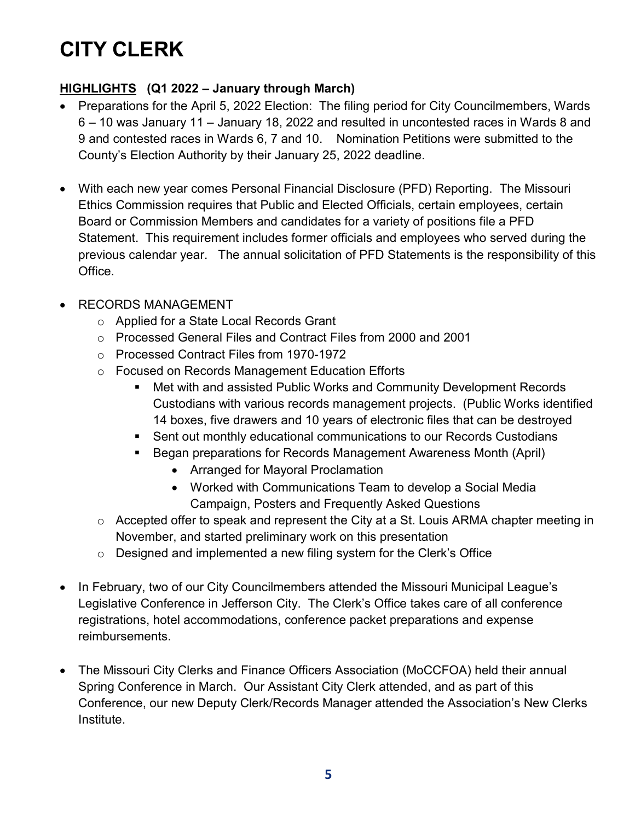# **CITY CLERK**

### **HIGHLIGHTS (Q1 2022 – January through March)**

- Preparations for the April 5, 2022 Election: The filing period for City Councilmembers, Wards 6 – 10 was January 11 – January 18, 2022 and resulted in uncontested races in Wards 8 and 9 and contested races in Wards 6, 7 and 10. Nomination Petitions were submitted to the County's Election Authority by their January 25, 2022 deadline.
- With each new year comes Personal Financial Disclosure (PFD) Reporting. The Missouri Ethics Commission requires that Public and Elected Officials, certain employees, certain Board or Commission Members and candidates for a variety of positions file a PFD Statement. This requirement includes former officials and employees who served during the previous calendar year. The annual solicitation of PFD Statements is the responsibility of this Office.
- RECORDS MANAGEMENT
	- o Applied for a State Local Records Grant
	- o Processed General Files and Contract Files from 2000 and 2001
	- o Processed Contract Files from 1970-1972
	- o Focused on Records Management Education Efforts
		- Met with and assisted Public Works and Community Development Records Custodians with various records management projects. (Public Works identified 14 boxes, five drawers and 10 years of electronic files that can be destroyed
		- Sent out monthly educational communications to our Records Custodians
		- Began preparations for Records Management Awareness Month (April)
			- Arranged for Mayoral Proclamation
			- Worked with Communications Team to develop a Social Media Campaign, Posters and Frequently Asked Questions
	- o Accepted offer to speak and represent the City at a St. Louis ARMA chapter meeting in November, and started preliminary work on this presentation
	- o Designed and implemented a new filing system for the Clerk's Office
- In February, two of our City Councilmembers attended the Missouri Municipal League's Legislative Conference in Jefferson City. The Clerk's Office takes care of all conference registrations, hotel accommodations, conference packet preparations and expense reimbursements.
- The Missouri City Clerks and Finance Officers Association (MoCCFOA) held their annual Spring Conference in March. Our Assistant City Clerk attended, and as part of this Conference, our new Deputy Clerk/Records Manager attended the Association's New Clerks Institute.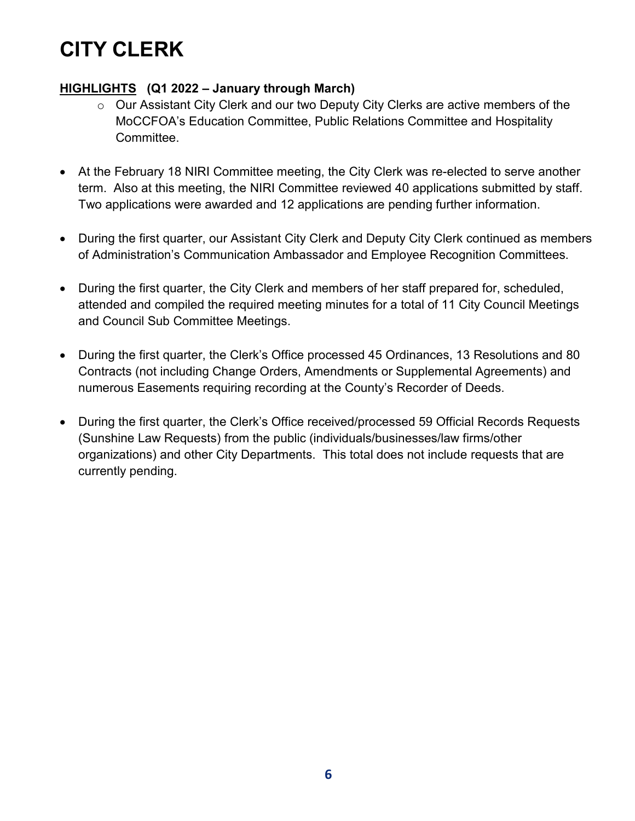# **CITY CLERK**

### **HIGHLIGHTS (Q1 2022 – January through March)**

- o Our Assistant City Clerk and our two Deputy City Clerks are active members of the MoCCFOA's Education Committee, Public Relations Committee and Hospitality Committee.
- At the February 18 NIRI Committee meeting, the City Clerk was re-elected to serve another term. Also at this meeting, the NIRI Committee reviewed 40 applications submitted by staff. Two applications were awarded and 12 applications are pending further information.
- During the first quarter, our Assistant City Clerk and Deputy City Clerk continued as members of Administration's Communication Ambassador and Employee Recognition Committees.
- During the first quarter, the City Clerk and members of her staff prepared for, scheduled, attended and compiled the required meeting minutes for a total of 11 City Council Meetings and Council Sub Committee Meetings.
- During the first quarter, the Clerk's Office processed 45 Ordinances, 13 Resolutions and 80 Contracts (not including Change Orders, Amendments or Supplemental Agreements) and numerous Easements requiring recording at the County's Recorder of Deeds.
- During the first quarter, the Clerk's Office received/processed 59 Official Records Requests (Sunshine Law Requests) from the public (individuals/businesses/law firms/other organizations) and other City Departments. This total does not include requests that are currently pending.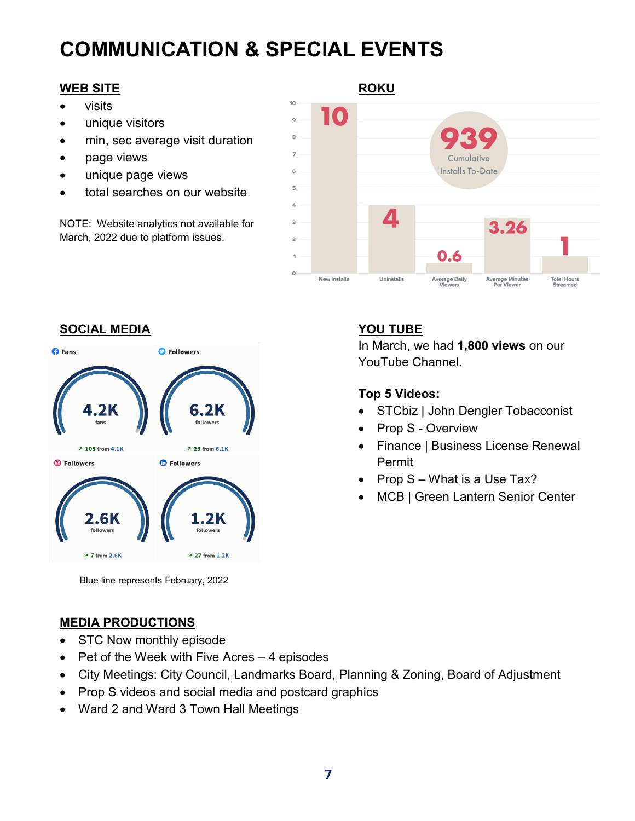# **COMMUNICATION & SPECIAL EVENTS**

- visits
- unique visitors
- min, sec average visit duration
- page views
- unique page views
- total searches on our website

NOTE: Website analytics not available for March, 2022 due to platform issues.





In March, we had **1,800 views** on our YouTube Channel.

### **Top 5 Videos:**

- STCbiz | John Dengler Tobacconist
- Prop S Overview
- Finance | Business License Renewal Permit
- Prop S What is a Use Tax?
- MCB | Green Lantern Senior Center

Blue line represents February, 2022

### **MEDIA PRODUCTIONS**

- STC Now monthly episode
- Pet of the Week with Five Acres 4 episodes
- City Meetings: City Council, Landmarks Board, Planning & Zoning, Board of Adjustment
- Prop S videos and social media and postcard graphics
- Ward 2 and Ward 3 Town Hall Meetings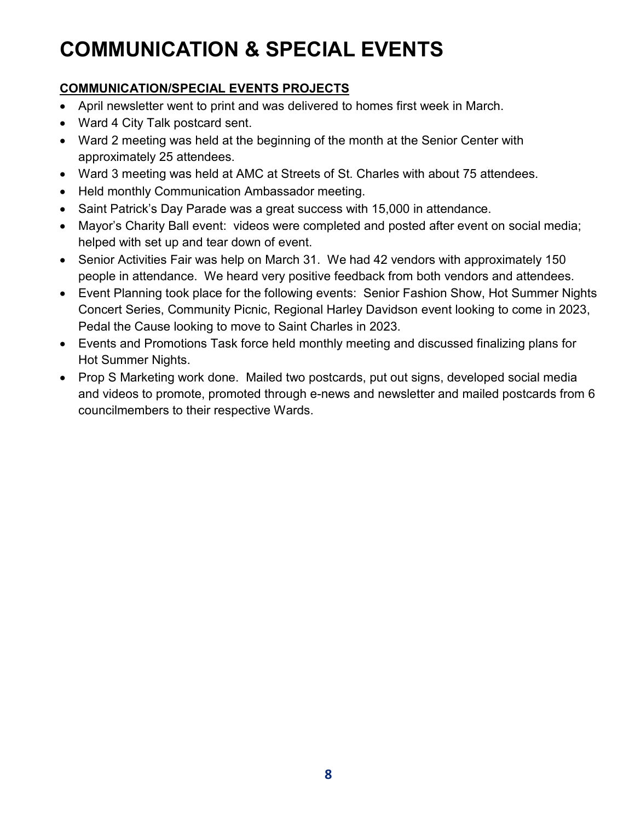# **COMMUNICATION & SPECIAL EVENTS**

### **COMMUNICATION/SPECIAL EVENTS PROJECTS**

- April newsletter went to print and was delivered to homes first week in March.
- Ward 4 City Talk postcard sent.
- Ward 2 meeting was held at the beginning of the month at the Senior Center with approximately 25 attendees.
- Ward 3 meeting was held at AMC at Streets of St. Charles with about 75 attendees.
- Held monthly Communication Ambassador meeting.
- Saint Patrick's Day Parade was a great success with 15,000 in attendance.
- Mayor's Charity Ball event: videos were completed and posted after event on social media; helped with set up and tear down of event.
- Senior Activities Fair was help on March 31. We had 42 vendors with approximately 150 people in attendance. We heard very positive feedback from both vendors and attendees.
- Event Planning took place for the following events: Senior Fashion Show, Hot Summer Nights Concert Series, Community Picnic, Regional Harley Davidson event looking to come in 2023, Pedal the Cause looking to move to Saint Charles in 2023.
- Events and Promotions Task force held monthly meeting and discussed finalizing plans for Hot Summer Nights.
- Prop S Marketing work done. Mailed two postcards, put out signs, developed social media and videos to promote, promoted through e-news and newsletter and mailed postcards from 6 councilmembers to their respective Wards.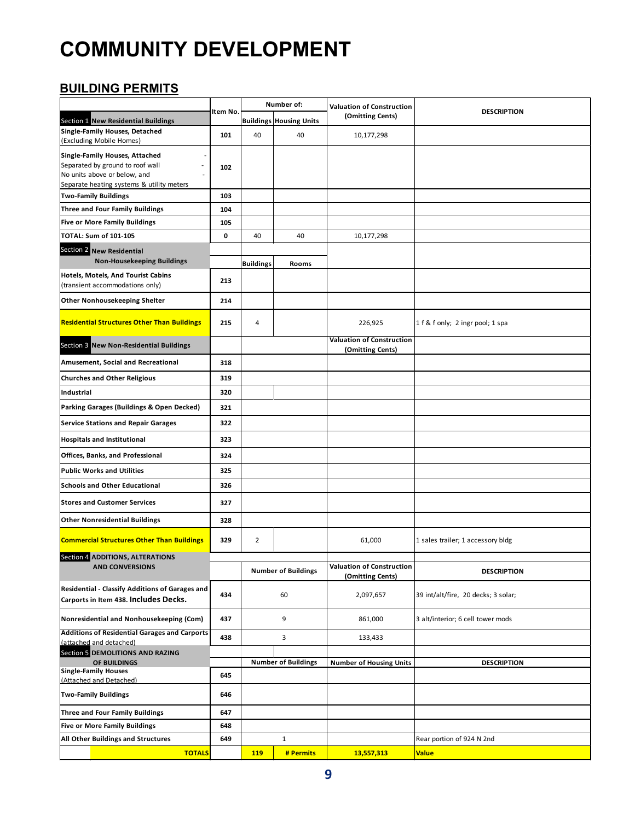### **BUILDING PERMITS**

|                                                                                                                                                 |            |                  | Number of:                     | <b>Valuation of Construction</b>                     |                                     |
|-------------------------------------------------------------------------------------------------------------------------------------------------|------------|------------------|--------------------------------|------------------------------------------------------|-------------------------------------|
| Section 1 New Residential Buildings                                                                                                             | Item No.   |                  | <b>Buildings Housing Units</b> | (Omitting Cents)                                     | <b>DESCRIPTION</b>                  |
| Single-Family Houses, Detached<br>(Excluding Mobile Homes)                                                                                      | 101        | 40               | 40                             | 10,177,298                                           |                                     |
| Single-Family Houses, Attached<br>Separated by ground to roof wall<br>No units above or below, and<br>Separate heating systems & utility meters | 102        |                  |                                |                                                      |                                     |
| <b>Two-Family Buildings</b>                                                                                                                     | 103        |                  |                                |                                                      |                                     |
| <b>Three and Four Family Buildings</b><br><b>Five or More Family Buildings</b>                                                                  | 104<br>105 |                  |                                |                                                      |                                     |
| TOTAL: Sum of 101-105                                                                                                                           | 0          | 40               | 40                             | 10,177,298                                           |                                     |
| Section 2 New Residential                                                                                                                       |            |                  |                                |                                                      |                                     |
| <b>Non-Housekeeping Buildings</b>                                                                                                               |            | <b>Buildings</b> | Rooms                          |                                                      |                                     |
| Hotels, Motels, And Tourist Cabins<br>(transient accommodations only)                                                                           | 213        |                  |                                |                                                      |                                     |
| <b>Other Nonhousekeeping Shelter</b>                                                                                                            | 214        |                  |                                |                                                      |                                     |
| <b>Residential Structures Other Than Buildings</b>                                                                                              | 215        | 4                |                                | 226,925                                              | 1 f & f only; 2 ingr pool; 1 spa    |
| Section 3 New Non-Residential Buildings                                                                                                         |            |                  |                                | <b>Valuation of Construction</b><br>(Omitting Cents) |                                     |
| Amusement, Social and Recreational                                                                                                              | 318        |                  |                                |                                                      |                                     |
| <b>Churches and Other Religious</b>                                                                                                             | 319        |                  |                                |                                                      |                                     |
| <b>Industrial</b>                                                                                                                               | 320        |                  |                                |                                                      |                                     |
| Parking Garages (Buildings & Open Decked)                                                                                                       | 321        |                  |                                |                                                      |                                     |
| <b>Service Stations and Repair Garages</b>                                                                                                      | 322        |                  |                                |                                                      |                                     |
| <b>Hospitals and Institutional</b>                                                                                                              | 323        |                  |                                |                                                      |                                     |
| Offices, Banks, and Professional                                                                                                                | 324        |                  |                                |                                                      |                                     |
| <b>Public Works and Utilities</b>                                                                                                               | 325        |                  |                                |                                                      |                                     |
| <b>Schools and Other Educational</b>                                                                                                            | 326        |                  |                                |                                                      |                                     |
| <b>Stores and Customer Services</b>                                                                                                             | 327        |                  |                                |                                                      |                                     |
| <b>Other Nonresidential Buildings</b>                                                                                                           | 328        |                  |                                |                                                      |                                     |
| <b>Commercial Structures Other Than Buildings</b>                                                                                               | 329        | $\overline{2}$   |                                | 61,000                                               | 1 sales trailer; 1 accessory bldg   |
| Section 4 ADDITIONS, ALTERATIONS<br><b>AND CONVERSIONS</b>                                                                                      |            |                  |                                | <b>Valuation of Construction</b>                     |                                     |
|                                                                                                                                                 |            |                  | <b>Number of Buildings</b>     | (Omitting Cents)                                     | <b>DESCRIPTION</b>                  |
| Residential - Classify Additions of Garages and<br>Carports in Item 438. Includes Decks.                                                        | 434        |                  | 60                             | 2,097,657                                            | 39 int/alt/fire, 20 decks; 3 solar; |
| Nonresidential and Nonhousekeeping (Com)                                                                                                        | 437        |                  | 9                              | 861,000                                              | 3 alt/interior; 6 cell tower mods   |
| <b>Additions of Residential Garages and Carports</b><br>(attached and detached)                                                                 | 438        |                  | 3                              | 133,433                                              |                                     |
| Section 5 DEMOLITIONS AND RAZING                                                                                                                |            |                  |                                |                                                      |                                     |
| OF BUILDINGS<br><b>Single-Family Houses</b>                                                                                                     |            |                  | <b>Number of Buildings</b>     | <b>Number of Housing Units</b>                       | <b>DESCRIPTION</b>                  |
| (Attached and Detached)                                                                                                                         | 645        |                  |                                |                                                      |                                     |
| <b>Two-Family Buildings</b>                                                                                                                     | 646        |                  |                                |                                                      |                                     |
| Three and Four Family Buildings                                                                                                                 | 647        |                  |                                |                                                      |                                     |
| <b>Five or More Family Buildings</b>                                                                                                            | 648        |                  |                                |                                                      |                                     |
| All Other Buildings and Structures                                                                                                              | 649        |                  | $\mathbf{1}$                   |                                                      | Rear portion of 924 N 2nd           |
| <b>TOTALS</b>                                                                                                                                   |            | 119              | # Permits                      | 13,557,313                                           | <b>Value</b>                        |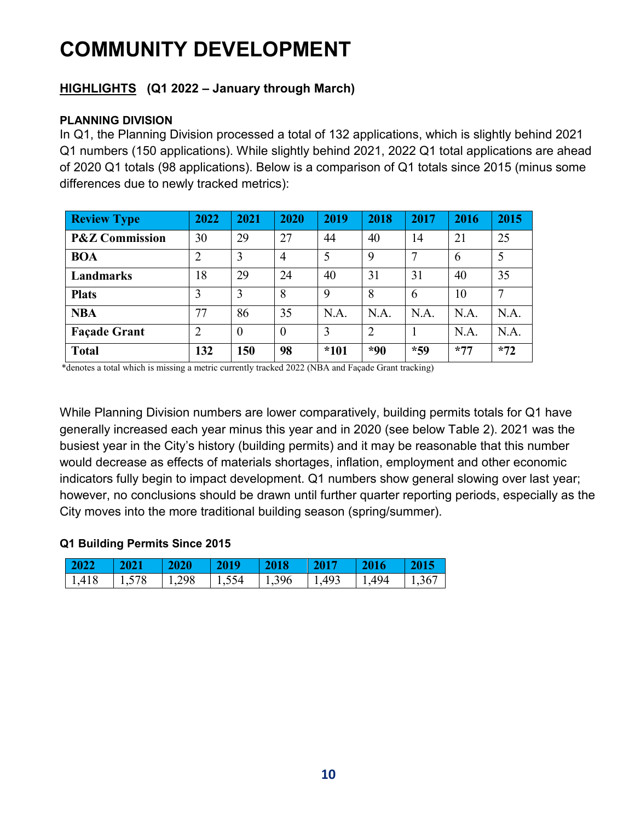### **HIGHLIGHTS (Q1 2022 – January through March)**

### **PLANNING DIVISION**

In Q1, the Planning Division processed a total of 132 applications, which is slightly behind 2021 Q1 numbers (150 applications). While slightly behind 2021, 2022 Q1 total applications are ahead of 2020 Q1 totals (98 applications). Below is a comparison of Q1 totals since 2015 (minus some differences due to newly tracked metrics):

| <b>Review Type</b>        | 2022           | 2021           | 2020           | 2019   | 2018  | 2017  | 2016  | 2015  |
|---------------------------|----------------|----------------|----------------|--------|-------|-------|-------|-------|
| <b>P&amp;Z Commission</b> | 30             | 29             | 27             | 44     | 40    | 14    | 21    | 25    |
| <b>BOA</b>                | $\overline{2}$ | 3              | $\overline{4}$ | 5      | 9     | 7     | 6     | 5     |
| Landmarks                 | 18             | 29             | 24             | 40     | 31    | 31    | 40    | 35    |
| <b>Plats</b>              | 3              | 3              | 8              | 9      | 8     | 6     | 10    | 7     |
| <b>NBA</b>                | 77             | 86             | 35             | N.A.   | N.A.  | N.A.  | N.A.  | N.A.  |
| <b>Façade Grant</b>       | $\overline{2}$ | $\overline{0}$ | $\theta$       | 3      | ∍     |       | N.A.  | N.A.  |
| <b>Total</b>              | 132            | 150            | 98             | $*101$ | $*90$ | $*59$ | $*77$ | $*72$ |

\*denotes a total which is missing a metric currently tracked 2022 (NBA and Façade Grant tracking)

While Planning Division numbers are lower comparatively, building permits totals for Q1 have generally increased each year minus this year and in 2020 (see below Table 2). 2021 was the busiest year in the City's history (building permits) and it may be reasonable that this number would decrease as effects of materials shortages, inflation, employment and other economic indicators fully begin to impact development. Q1 numbers show general slowing over last year; however, no conclusions should be drawn until further quarter reporting periods, especially as the City moves into the more traditional building season (spring/summer).

### **Q1 Building Permits Since 2015**

| $2022 -$ | $\parallel$ 2021) | $\sqrt{2020}$                 | $\sqrt{2019}$ | $\sqrt{2018}$ | $\begin{array}{c} \boxed{2017} \end{array}$ | 2016          | $\vert$ 2015 |
|----------|-------------------|-------------------------------|---------------|---------------|---------------------------------------------|---------------|--------------|
| 1,418    | 1,578             | $\vert$ 1,298   1,554   1,396 |               |               | 1,493                                       | $1,494$ 1,367 |              |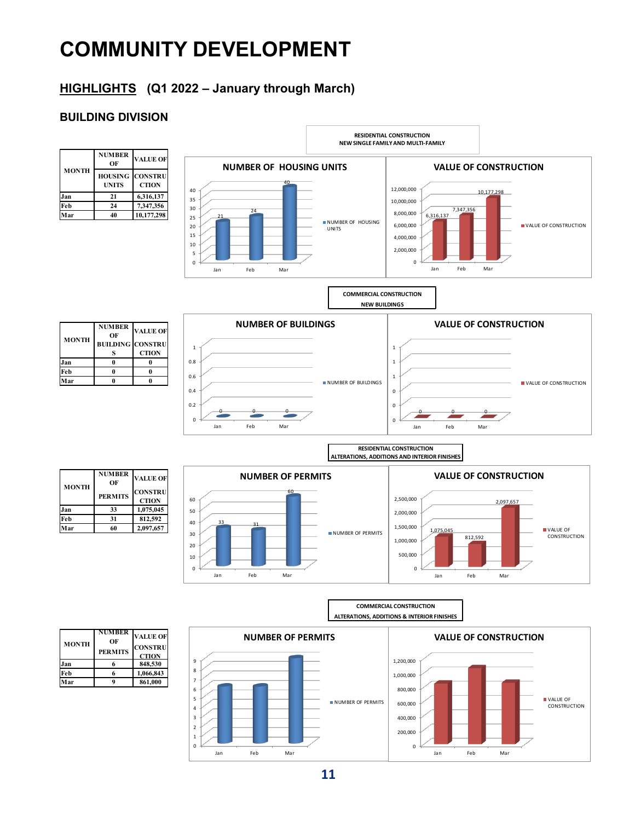### **HIGHLIGHTS (Q1 2022 – January through March)**

### **BUILDING DIVISION**

| <b>MONTH</b> | <b>NUMBER</b><br>ОF            | <b>VALUE OF</b>                |
|--------------|--------------------------------|--------------------------------|
|              | <b>HOUSING</b><br><b>UNITS</b> | <b>CONSTRU</b><br><b>CTION</b> |
| Jan          | 21                             | 6,316,137                      |
| Feb          | 24                             | 7,347,356                      |
| 'ar          | 40                             | 10,177,298                     |

0 5 10 15 20 25 30 35 40 Jan Feb Mar <sup>21</sup> <sup>24</sup> 40 **NUMBER OF HOUSING UNITS** NUMBER OF HOUSING UNITS  $\overline{0}$ 2,000,000 4,000,000 6,000,000 8,000,000 10,000,000 12,000,000 Jan Feb Mar 6,316,137 7,347,356 10,177. **VALUE OF CONSTRUCTION** VALUE OF CONSTRUCTION

**RESIDENTIAL CONSTRUCTION NEW SINGLE FAMILY AND MULTI-FAMILY**



**COMMERCIAL CONSTRUCTION NEW BUILDINGS**

| <b>MONTH</b> | <b>NUMBER</b><br>OF     | <b>VALUE OF</b> |  |  |  |
|--------------|-------------------------|-----------------|--|--|--|
|              | <b>BUILDING CONSTRU</b> |                 |  |  |  |
| an           |                         | <b>CTION</b>    |  |  |  |
| Feb          |                         |                 |  |  |  |
|              |                         |                 |  |  |  |







| <b>MONTH</b> | <b>NUMBER</b><br>ОF | <b>VALUE OF</b>                |
|--------------|---------------------|--------------------------------|
|              | <b>PERMITS</b>      | <b>CONSTRU</b><br><b>CTION</b> |
| lan          | 33                  | 1,075,045                      |
| Feb          | 31                  | 812,592                        |
|              | 60                  | 2,097,657                      |

 $33$   $31$ 





**NUMBER OF VALUE OF**<br> **CONSTRU PERMITS CTION 1**<br>**1.066,843**<br>**Feb 6 1.066,843 Feb 6 1,066,843 Mar 9 861,000 MONTH**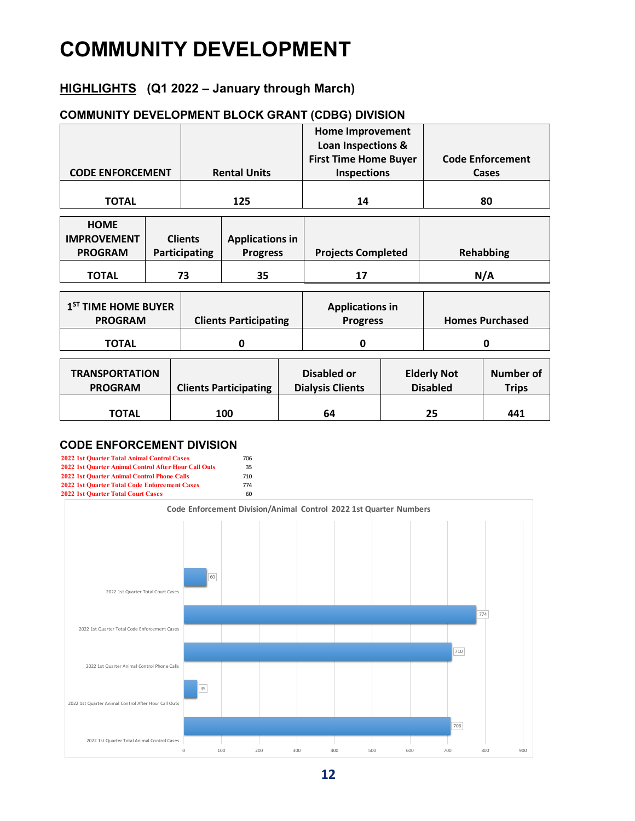### **HIGHLIGHTS (Q1 2022 – January through March)**

#### **COMMUNITY DEVELOPMENT BLOCK GRANT (CDBG) DIVISION**

|                                 |  |                |                              | <b>Home Improvement</b><br>Loan Inspections & |  |                                 |                         |  |
|---------------------------------|--|----------------|------------------------------|-----------------------------------------------|--|---------------------------------|-------------------------|--|
|                                 |  |                |                              | <b>First Time Home Buyer</b>                  |  |                                 | <b>Code Enforcement</b> |  |
| <b>CODE ENFORCEMENT</b>         |  |                | <b>Rental Units</b>          | <b>Inspections</b>                            |  |                                 | Cases                   |  |
|                                 |  |                |                              |                                               |  |                                 |                         |  |
| <b>TOTAL</b>                    |  | 125            | 14                           |                                               |  | 80                              |                         |  |
| <b>HOME</b>                     |  |                |                              |                                               |  |                                 |                         |  |
| <b>IMPROVEMENT</b>              |  | <b>Clients</b> | <b>Applications in</b>       |                                               |  |                                 |                         |  |
| <b>PROGRAM</b>                  |  | Participating  | <b>Progress</b>              | <b>Projects Completed</b>                     |  |                                 | <b>Rehabbing</b>        |  |
| <b>TOTAL</b>                    |  | 73             | 35                           | 17                                            |  | N/A                             |                         |  |
|                                 |  |                |                              |                                               |  |                                 |                         |  |
| 1 <sup>ST</sup> TIME HOME BUYER |  |                |                              | <b>Applications in</b>                        |  |                                 |                         |  |
| <b>PROGRAM</b>                  |  |                | <b>Clients Participating</b> | <b>Progress</b>                               |  |                                 | <b>Homes Purchased</b>  |  |
| <b>TOTAL</b>                    |  |                | 0                            | 0                                             |  | 0                               |                         |  |
|                                 |  |                |                              |                                               |  |                                 |                         |  |
| <b>TRANSPORTATION</b>           |  |                |                              | <b>Disabled or</b>                            |  | <b>Elderly Not</b>              | <b>Number of</b>        |  |
| <b>PROGRAM</b>                  |  |                | <b>Clients Participating</b> | <b>Dialysis Clients</b>                       |  | <b>Disabled</b><br><b>Trips</b> |                         |  |
|                                 |  |                |                              |                                               |  |                                 |                         |  |

**TOTAL 100 64 25 441**

#### **CODE ENFORCEMENT DIVISION**



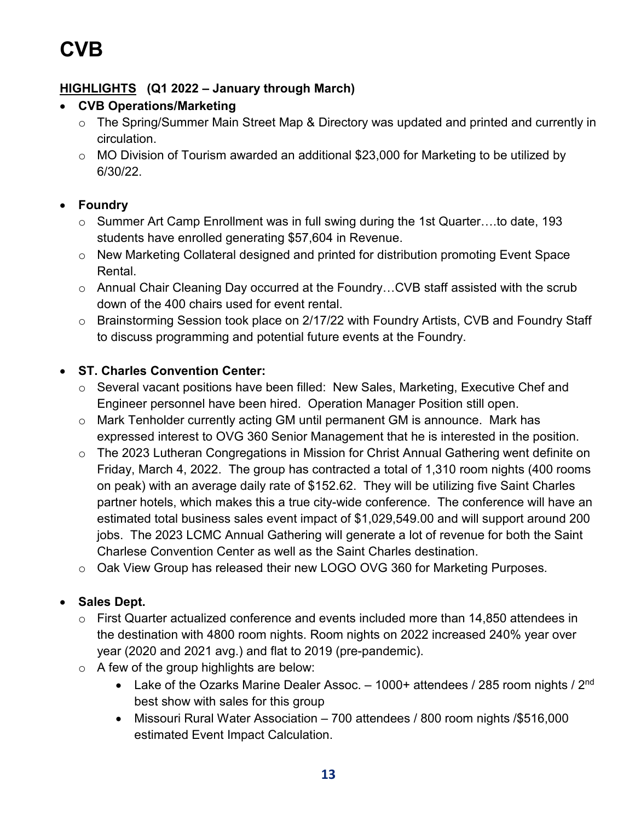### **HIGHLIGHTS (Q1 2022 – January through March)**

### • **CVB Operations/Marketing**

- o The Spring/Summer Main Street Map & Directory was updated and printed and currently in circulation.
- o MO Division of Tourism awarded an additional \$23,000 for Marketing to be utilized by 6/30/22.

### • **Foundry**

- o Summer Art Camp Enrollment was in full swing during the 1st Quarter….to date, 193 students have enrolled generating \$57,604 in Revenue.
- o New Marketing Collateral designed and printed for distribution promoting Event Space Rental.
- o Annual Chair Cleaning Day occurred at the Foundry…CVB staff assisted with the scrub down of the 400 chairs used for event rental.
- o Brainstorming Session took place on 2/17/22 with Foundry Artists, CVB and Foundry Staff to discuss programming and potential future events at the Foundry.

### • **ST. Charles Convention Center:**

- o Several vacant positions have been filled: New Sales, Marketing, Executive Chef and Engineer personnel have been hired. Operation Manager Position still open.
- o Mark Tenholder currently acting GM until permanent GM is announce. Mark has expressed interest to OVG 360 Senior Management that he is interested in the position.
- o The 2023 Lutheran Congregations in Mission for Christ Annual Gathering went definite on Friday, March 4, 2022. The group has contracted a total of 1,310 room nights (400 rooms on peak) with an average daily rate of \$152.62. They will be utilizing five Saint Charles partner hotels, which makes this a true city-wide conference. The conference will have an estimated total business sales event impact of \$1,029,549.00 and will support around 200 jobs. The 2023 LCMC Annual Gathering will generate a lot of revenue for both the Saint Charlese Convention Center as well as the Saint Charles destination.
- o Oak View Group has released their new LOGO OVG 360 for Marketing Purposes.

### • **Sales Dept.**

- o First Quarter actualized conference and events included more than 14,850 attendees in the destination with 4800 room nights. Room nights on 2022 increased 240% year over year (2020 and 2021 avg.) and flat to 2019 (pre-pandemic).
- $\circ$  A few of the group highlights are below:
	- Lake of the Ozarks Marine Dealer Assoc. 1000+ attendees / 285 room nights / 2<sup>nd</sup> best show with sales for this group
	- Missouri Rural Water Association 700 attendees / 800 room nights /\$516,000 estimated Event Impact Calculation.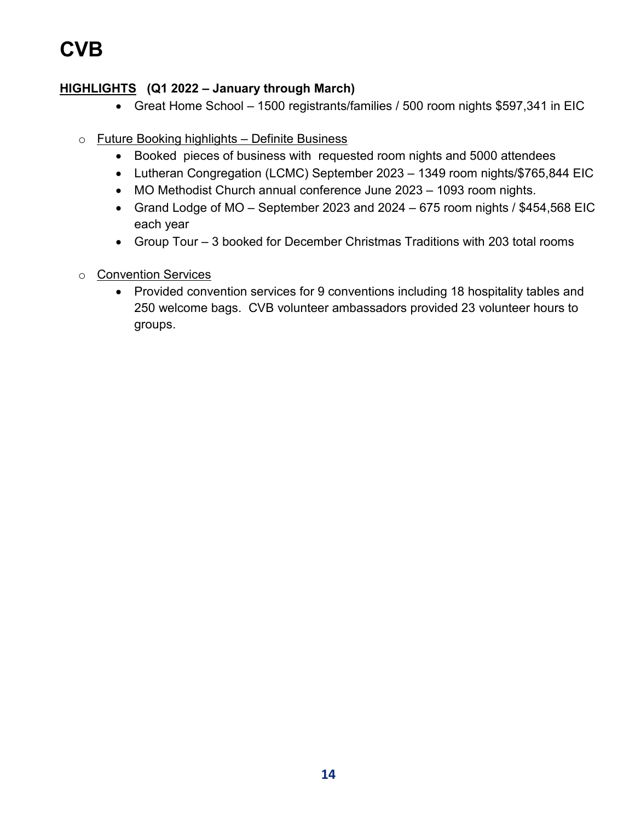# **CVB**

### **HIGHLIGHTS (Q1 2022 – January through March)**

- Great Home School 1500 registrants/families / 500 room nights \$597,341 in EIC
- o Future Booking highlights Definite Business
	- Booked pieces of business with requested room nights and 5000 attendees
	- Lutheran Congregation (LCMC) September 2023 1349 room nights/\$765,844 EIC
	- MO Methodist Church annual conference June 2023 1093 room nights.
	- Grand Lodge of MO September 2023 and 2024 675 room nights / \$454,568 EIC each year
	- Group Tour 3 booked for December Christmas Traditions with 203 total rooms
- o Convention Services
	- Provided convention services for 9 conventions including 18 hospitality tables and 250 welcome bags. CVB volunteer ambassadors provided 23 volunteer hours to groups.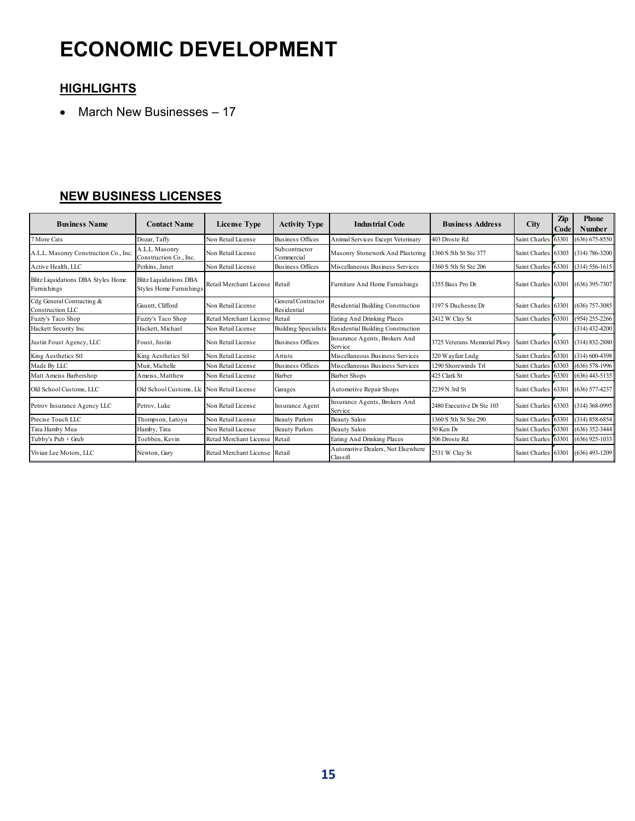# **ECONOMIC DEVELOPMENT**

### **HIGHLIGHTS**

• March New Businesses – 17

### **NEW BUSINESS LICENSES**

| <b>Business Name</b>                              | <b>Contact Name</b>                                             | License Type                   | <b>Activity Type</b>              | <b>Industrial Code</b>                                          | <b>Business Address</b>     | <b>City</b>         | Zip<br>Code         | <b>Phone</b><br><b>Number</b> |
|---------------------------------------------------|-----------------------------------------------------------------|--------------------------------|-----------------------------------|-----------------------------------------------------------------|-----------------------------|---------------------|---------------------|-------------------------------|
| 7 More Cats                                       | Dozar, Taffy                                                    | Non Retail License             | <b>Business Offices</b>           | Animal Services Except Veterinary                               | 403 Droste Rd               | Saint Charles       | 63301               | $(636) 675 - 8550$            |
| A.L.L. Masonry Construction Co., Inc.             | A.L.L. Masonry<br>Construction Co., Inc.                        | Non Retail License             | Subcontractor<br>Commercial       | Masonry Stonework And Plastering                                | 1360 S 5th St Ste 377       | Saint Charles 63303 |                     | $(314) 786 - 3200$            |
| Active Health, LLC                                | Perkins, Janet                                                  | Non Retail License             | <b>Business Offices</b>           | Miscellaneous Business Services                                 | 1360 S 5th St Ste 206       | Saint Charles       | 63301               | $(314) 556 - 1615$            |
| Blitz Liquidations DBA Styles Home<br>Furnishings | <b>Blitz Liquidations DBA</b><br><b>Styles Home Furnishings</b> | Retail Merchant License Retail |                                   | Furniture And Home Furnishings                                  | 1355 Bass Pro Dr            | Saint Charles 63301 |                     | $(636)$ 395-7307              |
| Cdg General Contracting &<br>Construction LLC     | Gauntt, Clifford                                                | Non Retail License             | General Contractor<br>Residential | Residential Building Construction                               | 1197 S Duchesne Dr          |                     | Saint Charles 63301 | $(636)$ 757-3085              |
| Fuzzy's Taco Shop                                 | Fuzzy's Taco Shop                                               | Retail Merchant License Retail |                                   | Eating And Drinking Places                                      | 2412 W Clay St              | Saint Charles 63301 |                     | $(954)$ 255-2266              |
| Hackett Security Inc                              | Hackett, Michael                                                | Non Retail License             | <b>Building Specialists</b>       | Residential Building Construction                               |                             |                     |                     | $(314)$ 432-4200              |
| Justin Foust Agency, LLC                          | Foust, Justin                                                   | Non Retail License             | <b>Business Offices</b>           | Insurance Agents, Brokers And<br>Service                        | 3725 Veterans Memorial Pkwy | Saint Charles 63303 |                     | $(314) 832 - 2880$            |
| King Aesthetics Stl                               | King Aesthetics Stl                                             | Non Retail License             | Artists                           | Miscellaneous Business Services                                 | 320 Wayfair Lndg            | Saint Charles 63301 |                     | $(314)$ 600-4398              |
| Made By LLC                                       | Muir, Michelle                                                  | Non Retail License             | <b>Business Offices</b>           | Miscellaneous Business Services                                 | 1290 Shorewinds Trl         | Saint Charles 63303 |                     | $(636)$ 578-1996              |
| Matt Ameiss Barbershop                            | Ameiss, Matthew                                                 | Non Retail License             | Barber                            | <b>Barber Shops</b>                                             | 425 Clark St                | Saint Charles 63301 |                     | $(636)$ 443-5135              |
| Old School Customs, LLC                           | Old School Customs, Llc Non Retail License                      |                                | Garages                           | <b>Automotive Repair Shops</b>                                  | 2239 N 3rd St               | Saint Charles 63301 |                     | $(636)$ 577-4237              |
| Petrov Insurance Agency LLC                       | Petrov, Luke                                                    | Non Retail License             | Insurance Agent                   | Insurance Agents, Brokers And<br>Service                        | 2480 Executive Dr Ste 103   | Saint Charles 63303 |                     | $(314)$ 368-0995              |
| Precise Touch LLC                                 | Thompson, Latoya                                                | Non Retail License             | <b>Beauty Parlors</b>             | <b>Beauty Salon</b>                                             | 1360 S 5th St Ste 290       | Saint Charles       | 63301               | $(314) 858 - 6854$            |
| Tina Hamby Mua                                    | Hamby, Tina                                                     | Non Retail License             | <b>Beauty Parlors</b>             | <b>Beauty Salon</b>                                             | 50 Ken Dr                   | Saint Charles       | 63301               | $(636)$ 352-3444              |
| Tubby's Pub + Grub                                | Toebben, Kevin                                                  | Retail Merchant License Retail |                                   | Eating And Drinking Places                                      | 506 Droste Rd               | Saint Charles       | 63301               | $(636)$ 925-1033              |
| Vivian Lee Motors, LLC                            | Newton, Gary                                                    | Retail Merchant License Retail |                                   | Automotive Dealers, Not Elsewhere<br>2531 W Clay St<br>Classifi |                             | Saint Charles 63301 |                     | $(636)$ 493-1209              |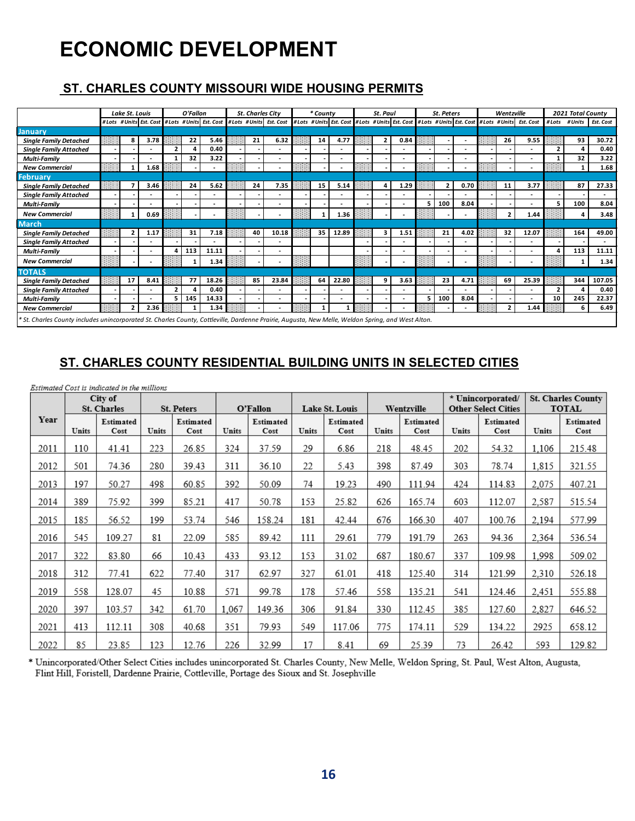# **ECONOMIC DEVELOPMENT**

### **ST. CHARLES COUNTY MISSOURI WIDE HOUSING PERMITS**

|                                                                                                                                                    | Lake St. Louis          |      |                | O'Fallon |       | <b>St. Charles City</b> |                                                                      | * County |                                                                                             | St. Paul |                          |   | St. Peters |                          | Wentzville     |                          |       | 2021 Total County |           |
|----------------------------------------------------------------------------------------------------------------------------------------------------|-------------------------|------|----------------|----------|-------|-------------------------|----------------------------------------------------------------------|----------|---------------------------------------------------------------------------------------------|----------|--------------------------|---|------------|--------------------------|----------------|--------------------------|-------|-------------------|-----------|
|                                                                                                                                                    |                         |      |                |          |       |                         | #Lots #Units Est. Cost #Lots #Units Est. Cost #Lots #Units Est. Cost |          | #Lots #Units Est. Cost #Lots #Units Est. Cost #Lots #Units Est. Cost #Lots #Units Est. Cost |          |                          |   |            |                          |                |                          | #Lots | # Units           | Est. Cost |
| January                                                                                                                                            |                         |      |                |          |       |                         |                                                                      |          |                                                                                             |          |                          |   |            |                          |                |                          |       |                   |           |
| <b>Single Family Detached</b>                                                                                                                      | 8                       | 3.78 |                | 22       | 5.46  | 21                      | 6.32                                                                 | 14       | 4.77                                                                                        | 2        | 0.84                     |   |            | $\overline{\phantom{a}}$ | 26             | 9.55                     |       | 93                | 30.72     |
| <b>Single Family Attached</b>                                                                                                                      |                         |      | $\overline{2}$ | Δ        | 0.40  |                         |                                                                      |          |                                                                                             |          |                          |   |            |                          |                | $\overline{\phantom{0}}$ | ,     | Δ                 | 0.40      |
| <b>Multi-Family</b>                                                                                                                                |                         |      |                | 32       | 3.22  |                         |                                                                      |          |                                                                                             |          | $\overline{\phantom{0}}$ |   |            |                          |                | $\overline{\phantom{a}}$ |       | 32                | 3.22      |
| <b>New Commercial</b>                                                                                                                              |                         | 1.68 |                |          |       |                         |                                                                      |          |                                                                                             |          |                          |   |            |                          |                |                          |       |                   | 1.68      |
| <b>February</b>                                                                                                                                    |                         |      |                |          |       |                         |                                                                      |          |                                                                                             |          |                          |   |            |                          |                |                          |       |                   |           |
| <b>Single Family Detached</b>                                                                                                                      |                         | 3.46 |                | 24       | 5.62  | 24                      | 7.35                                                                 | 15       | 5.14                                                                                        |          | 1.29                     |   |            | 0.70                     | 11             | 3.77                     |       | 87                | 27.33     |
| <b>Single Family Attached</b>                                                                                                                      |                         |      |                |          |       |                         |                                                                      |          | $\overline{\phantom{a}}$                                                                    |          |                          |   |            |                          |                | ٠                        |       |                   |           |
| Multi-Family                                                                                                                                       |                         |      |                |          |       |                         |                                                                      |          |                                                                                             |          | $\overline{a}$           | 5 | 100        | 8.04                     |                | ٠                        | 5     | 100               | 8.04      |
| <b>New Commercial</b>                                                                                                                              |                         | 0.69 |                |          |       |                         |                                                                      | 1        | 1.36                                                                                        |          |                          |   |            |                          | 7              | 1.44                     |       | 4                 | 3.48      |
| <b>March</b>                                                                                                                                       |                         |      |                |          |       |                         |                                                                      |          |                                                                                             |          |                          |   |            |                          |                |                          |       |                   |           |
| <b>Single Family Detached</b>                                                                                                                      |                         | 1.17 |                | 31       | 7.18  | 40                      | 10.18                                                                | 35       | 12.89                                                                                       |          | 1.51                     |   | 21         | 4.02                     | 32             | 12.07                    |       | 164               | 49.00     |
| <b>Single Family Attached</b>                                                                                                                      |                         |      |                |          |       |                         |                                                                      |          |                                                                                             |          |                          |   |            |                          |                |                          |       |                   |           |
| <b>Multi-Family</b>                                                                                                                                |                         |      |                | 113      | 11.11 |                         |                                                                      |          |                                                                                             |          |                          |   |            |                          |                |                          | 4     | 113               | 11.11     |
| <b>New Commercial</b>                                                                                                                              |                         |      |                |          | 1.34  |                         |                                                                      |          |                                                                                             |          | $\overline{\phantom{0}}$ |   |            |                          |                |                          |       | $\mathbf 1$       | 1.34      |
| <b>TOTALS</b>                                                                                                                                      |                         |      |                |          |       |                         |                                                                      |          |                                                                                             |          |                          |   |            |                          |                |                          |       |                   |           |
| <b>Single Family Detached</b>                                                                                                                      | 17                      | 8.41 |                | 77       | 18.26 | 85                      | 23.84                                                                | 64       | 22.80                                                                                       | 9        | 3.63                     |   | 23         | 4.71                     | 69             | 25.39                    |       | 344               | 107.05    |
| <b>Single Family Attached</b>                                                                                                                      |                         |      | $\overline{2}$ |          | 0.40  |                         |                                                                      |          | ٠                                                                                           |          | $\overline{a}$           |   |            |                          |                | ٠                        |       |                   | 0.40      |
| <b>Multi-Family</b>                                                                                                                                |                         |      | 5.             | 145      | 14.33 |                         |                                                                      |          |                                                                                             |          | $\overline{\phantom{0}}$ | 5 | 100        | 8.04                     |                | $\overline{\phantom{a}}$ | 10    | 245               | 22.37     |
| <b>New Commercial</b>                                                                                                                              | $\overline{\mathbf{z}}$ | 2.36 |                |          | 1.34  |                         |                                                                      |          |                                                                                             |          |                          |   |            |                          | $\overline{2}$ | 1.44                     |       | 6                 | 6.49      |
| * St. Charles County includes unincorporated St. Charles County, Cottleville, Dardenne Prairie, Augusta, New Melle, Weldon Spring, and West Alton. |                         |      |                |          |       |                         |                                                                      |          |                                                                                             |          |                          |   |            |                          |                |                          |       |                   |           |

### **ST. CHARLES COUNTY RESIDENTIAL BUILDING UNITS IN SELECTED CITIES**

|      | Estimated Cost is indicated in the millions |                    |       |                   |       |                   |       |                   |       |                   |       |                            |       |                           |
|------|---------------------------------------------|--------------------|-------|-------------------|-------|-------------------|-------|-------------------|-------|-------------------|-------|----------------------------|-------|---------------------------|
|      |                                             | City of            |       |                   |       |                   |       |                   |       |                   |       | * Unincorporated/          |       | <b>St. Charles County</b> |
|      |                                             | <b>St. Charles</b> |       | <b>St. Peters</b> |       | O'Fallon          |       | Lake St. Louis    |       | Wentzville        |       | <b>Other Select Cities</b> |       | <b>TOTAL</b>              |
| Year | Units                                       | Estimated<br>Cost  | Units | Estimated<br>Cost | Units | Estimated<br>Cost | Units | Estimated<br>Cost | Units | Estimated<br>Cost | Units | Estimated<br>Cost          | Units | Estimated<br>Cost         |
| 2011 | 110                                         | 41.41              | 223   | 26.85             | 324   | 37.59             | 29    | 6.86              | 218   | 48.45             | 202   | 54.32                      | 1,106 | 215.48                    |
| 2012 | 501                                         | 74.36              | 280   | 39.43             | 311   | 36.10             | 22    | 5.43              | 398   | 87.49             | 303   | 78.74                      | 1,815 | 321.55                    |
| 2013 | 197                                         | 50.27              | 498   | 60.85             | 392   | 50.09             | 74    | 19.23             | 490   | 111.94            | 424   | 114.83                     | 2,075 | 407.21                    |
| 2014 | 389                                         | 75.92              | 399   | 85.21             | 417   | 50.78             | 153   | 25.82             | 626   | 165.74            | 603   | 112.07                     | 2,587 | 515.54                    |
| 2015 | 185                                         | 56.52              | 199   | 53.74             | 546   | 158.24            | 181   | 42.44             | 676   | 166.30            | 407   | 100.76                     | 2.194 | 577.99                    |
| 2016 | 545                                         | 109.27             | 81    | 22.09             | 585   | 89.42             | 111   | 29.61             | 779   | 191.79            | 263   | 94.36                      | 2,364 | 536.54                    |
| 2017 | 322                                         | 83.80              | 66    | 10.43             | 433   | 93.12             | 153   | 31.02             | 687   | 180.67            | 337   | 109.98                     | 1.998 | 509.02                    |
| 2018 | 312                                         | 77.41              | 622   | 77.40             | 317   | 62.97             | 327   | 61.01             | 418   | 125.40            | 314   | 121.99                     | 2,310 | 526.18                    |
| 2019 | 558                                         | 128.07             | 45    | 10.88             | 571   | 99.78             | 178   | 57.46             | 558   | 135.21            | 541   | 124.46                     | 2,451 | 555.88                    |
| 2020 | 397                                         | 103.57             | 342   | 61.70             | 1,067 | 149.36            | 306   | 91.84             | 330   | 112.45            | 385   | 127.60                     | 2,827 | 646.52                    |
| 2021 | 413                                         | 112.11             | 308   | 40.68             | 351   | 79.93             | 549   | 117.06            | 775   | 174.11            | 529   | 134.22                     | 2925  | 658.12                    |
| 2022 | 85                                          | 23.85              | 123   | 12.76             | 226   | 32.99             | 17    | 8.41              | 69    | 25.39             | 73    | 26.42                      | 593   | 129.82                    |

\* Unincorporated/Other Select Cities includes unincorporated St. Charles County, New Melle, Weldon Spring, St. Paul, West Alton, Augusta, Flint Hill, Foristell, Dardenne Prairie, Cottleville, Portage des Sioux and St. Josephville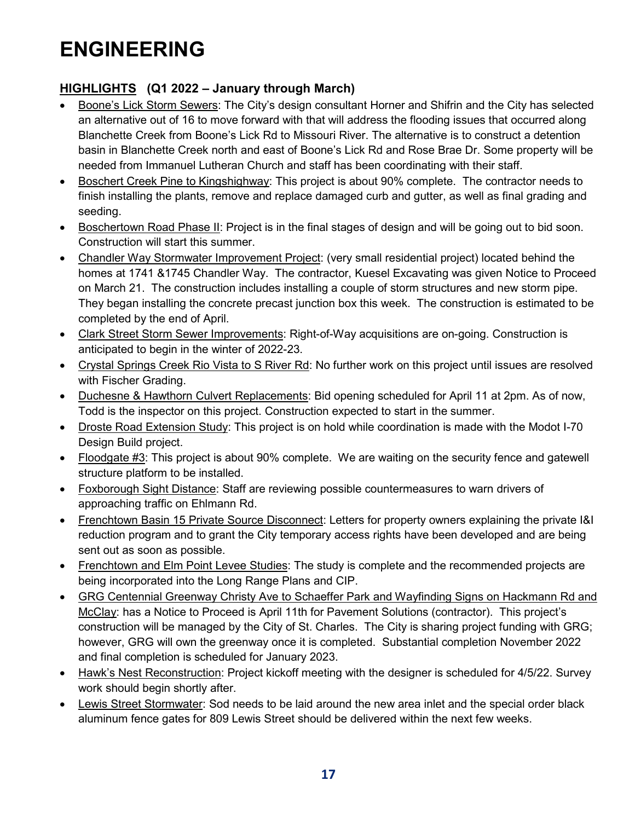### **HIGHLIGHTS (Q1 2022 – January through March)**

- Boone's Lick Storm Sewers: The City's design consultant Horner and Shifrin and the City has selected an alternative out of 16 to move forward with that will address the flooding issues that occurred along Blanchette Creek from Boone's Lick Rd to Missouri River. The alternative is to construct a detention basin in Blanchette Creek north and east of Boone's Lick Rd and Rose Brae Dr. Some property will be needed from Immanuel Lutheran Church and staff has been coordinating with their staff.
- Boschert Creek Pine to Kingshighway: This project is about 90% complete. The contractor needs to finish installing the plants, remove and replace damaged curb and gutter, as well as final grading and seeding.
- Boschertown Road Phase II: Project is in the final stages of design and will be going out to bid soon. Construction will start this summer.
- Chandler Way Stormwater Improvement Project: (very small residential project) located behind the homes at 1741 &1745 Chandler Way. The contractor, Kuesel Excavating was given Notice to Proceed on March 21. The construction includes installing a couple of storm structures and new storm pipe. They began installing the concrete precast junction box this week. The construction is estimated to be completed by the end of April.
- Clark Street Storm Sewer Improvements: Right-of-Way acquisitions are on-going. Construction is anticipated to begin in the winter of 2022-23.
- Crystal Springs Creek Rio Vista to S River Rd: No further work on this project until issues are resolved with Fischer Grading.
- Duchesne & Hawthorn Culvert Replacements: Bid opening scheduled for April 11 at 2pm. As of now, Todd is the inspector on this project. Construction expected to start in the summer.
- Droste Road Extension Study: This project is on hold while coordination is made with the Modot I-70 Design Build project.
- Floodgate #3: This project is about 90% complete. We are waiting on the security fence and gatewell structure platform to be installed.
- Foxborough Sight Distance: Staff are reviewing possible countermeasures to warn drivers of approaching traffic on Ehlmann Rd.
- Frenchtown Basin 15 Private Source Disconnect: Letters for property owners explaining the private [&] reduction program and to grant the City temporary access rights have been developed and are being sent out as soon as possible.
- Frenchtown and Elm Point Levee Studies: The study is complete and the recommended projects are being incorporated into the Long Range Plans and CIP.
- GRG Centennial Greenway Christy Ave to Schaeffer Park and Wayfinding Signs on Hackmann Rd and McClay: has a Notice to Proceed is April 11th for Pavement Solutions (contractor). This project's construction will be managed by the City of St. Charles. The City is sharing project funding with GRG; however, GRG will own the greenway once it is completed. Substantial completion November 2022 and final completion is scheduled for January 2023.
- Hawk's Nest Reconstruction: Project kickoff meeting with the designer is scheduled for 4/5/22. Survey work should begin shortly after.
- Lewis Street Stormwater: Sod needs to be laid around the new area inlet and the special order black aluminum fence gates for 809 Lewis Street should be delivered within the next few weeks.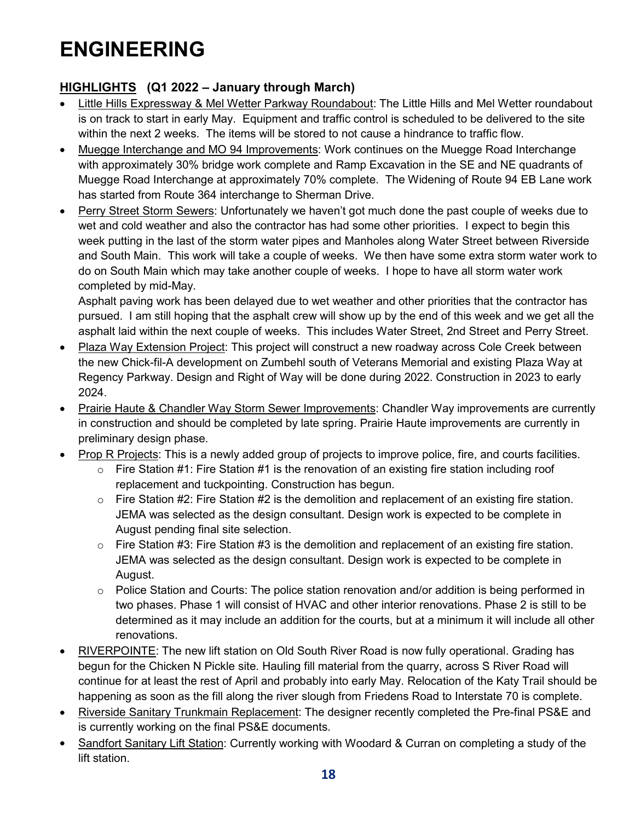### **HIGHLIGHTS (Q1 2022 – January through March)**

- Little Hills Expressway & Mel Wetter Parkway Roundabout: The Little Hills and Mel Wetter roundabout is on track to start in early May. Equipment and traffic control is scheduled to be delivered to the site within the next 2 weeks. The items will be stored to not cause a hindrance to traffic flow.
- Muegge Interchange and MO 94 Improvements: Work continues on the Muegge Road Interchange with approximately 30% bridge work complete and Ramp Excavation in the SE and NE quadrants of Muegge Road Interchange at approximately 70% complete. The Widening of Route 94 EB Lane work has started from Route 364 interchange to Sherman Drive.
- Perry Street Storm Sewers: Unfortunately we haven't got much done the past couple of weeks due to wet and cold weather and also the contractor has had some other priorities. I expect to begin this week putting in the last of the storm water pipes and Manholes along Water Street between Riverside and South Main. This work will take a couple of weeks. We then have some extra storm water work to do on South Main which may take another couple of weeks. I hope to have all storm water work completed by mid-May.

Asphalt paving work has been delayed due to wet weather and other priorities that the contractor has pursued. I am still hoping that the asphalt crew will show up by the end of this week and we get all the asphalt laid within the next couple of weeks. This includes Water Street, 2nd Street and Perry Street.

- Plaza Way Extension Project: This project will construct a new roadway across Cole Creek between the new Chick-fil-A development on Zumbehl south of Veterans Memorial and existing Plaza Way at Regency Parkway. Design and Right of Way will be done during 2022. Construction in 2023 to early 2024.
- Prairie Haute & Chandler Way Storm Sewer Improvements: Chandler Way improvements are currently in construction and should be completed by late spring. Prairie Haute improvements are currently in preliminary design phase.
- Prop R Projects: This is a newly added group of projects to improve police, fire, and courts facilities.
	- $\circ$  Fire Station #1: Fire Station #1 is the renovation of an existing fire station including roof replacement and tuckpointing. Construction has begun.
	- $\circ$  Fire Station #2: Fire Station #2 is the demolition and replacement of an existing fire station. JEMA was selected as the design consultant. Design work is expected to be complete in August pending final site selection.
	- $\circ$  Fire Station #3: Fire Station #3 is the demolition and replacement of an existing fire station. JEMA was selected as the design consultant. Design work is expected to be complete in August.
	- $\circ$  Police Station and Courts: The police station renovation and/or addition is being performed in two phases. Phase 1 will consist of HVAC and other interior renovations. Phase 2 is still to be determined as it may include an addition for the courts, but at a minimum it will include all other renovations.
- RIVERPOINTE: The new lift station on Old South River Road is now fully operational. Grading has begun for the Chicken N Pickle site. Hauling fill material from the quarry, across S River Road will continue for at least the rest of April and probably into early May. Relocation of the Katy Trail should be happening as soon as the fill along the river slough from Friedens Road to Interstate 70 is complete.
- Riverside Sanitary Trunkmain Replacement: The designer recently completed the Pre-final PS&E and is currently working on the final PS&E documents.
- Sandfort Sanitary Lift Station: Currently working with Woodard & Curran on completing a study of the lift station.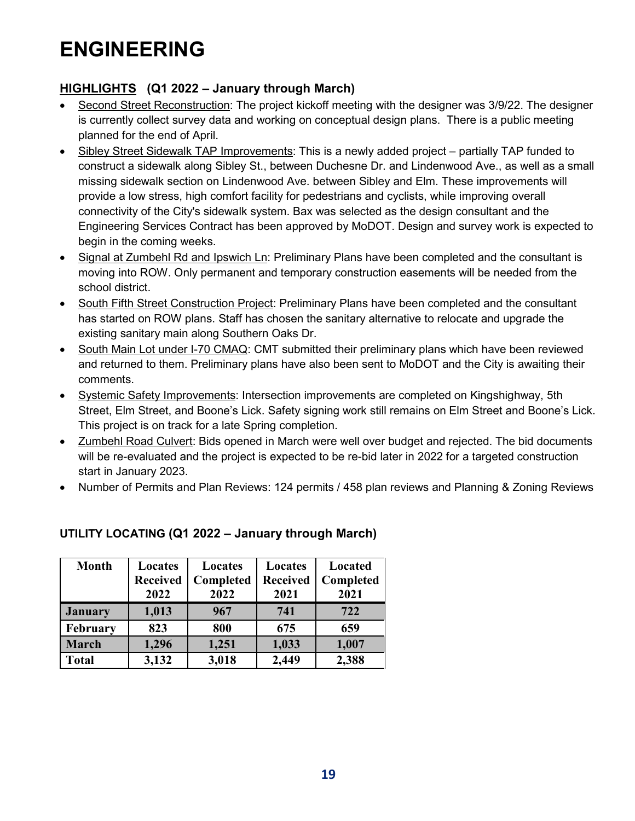### **HIGHLIGHTS (Q1 2022 – January through March)**

- Second Street Reconstruction: The project kickoff meeting with the designer was 3/9/22. The designer is currently collect survey data and working on conceptual design plans. There is a public meeting planned for the end of April.
- Sibley Street Sidewalk TAP Improvements: This is a newly added project partially TAP funded to construct a sidewalk along Sibley St., between Duchesne Dr. and Lindenwood Ave., as well as a small missing sidewalk section on Lindenwood Ave. between Sibley and Elm. These improvements will provide a low stress, high comfort facility for pedestrians and cyclists, while improving overall connectivity of the City's sidewalk system. Bax was selected as the design consultant and the Engineering Services Contract has been approved by MoDOT. Design and survey work is expected to begin in the coming weeks.
- Signal at Zumbehl Rd and Ipswich Ln: Preliminary Plans have been completed and the consultant is moving into ROW. Only permanent and temporary construction easements will be needed from the school district.
- South Fifth Street Construction Project: Preliminary Plans have been completed and the consultant has started on ROW plans. Staff has chosen the sanitary alternative to relocate and upgrade the existing sanitary main along Southern Oaks Dr.
- South Main Lot under I-70 CMAQ: CMT submitted their preliminary plans which have been reviewed and returned to them. Preliminary plans have also been sent to MoDOT and the City is awaiting their comments.
- Systemic Safety Improvements: Intersection improvements are completed on Kingshighway, 5th Street, Elm Street, and Boone's Lick. Safety signing work still remains on Elm Street and Boone's Lick. This project is on track for a late Spring completion.
- Zumbehl Road Culvert: Bids opened in March were well over budget and rejected. The bid documents will be re-evaluated and the project is expected to be re-bid later in 2022 for a targeted construction start in January 2023.
- Number of Permits and Plan Reviews: 124 permits / 458 plan reviews and Planning & Zoning Reviews

| <b>Month</b>   | Locates<br>Locates |           | Locates         | Located   |  |
|----------------|--------------------|-----------|-----------------|-----------|--|
|                | <b>Received</b>    | Completed | <b>Received</b> | Completed |  |
|                | 2022               | 2022      | 2021            | 2021      |  |
| <b>January</b> | 1,013              | 967       | 741             | 722       |  |
| February       | 823                | 800       | 675             | 659       |  |
| <b>March</b>   | 1,296              | 1,251     | 1,033           | 1,007     |  |
| <b>Total</b>   | 3,132              | 3,018     | 2,449           | 2,388     |  |

### **UTILITY LOCATING (Q1 2022 – January through March)**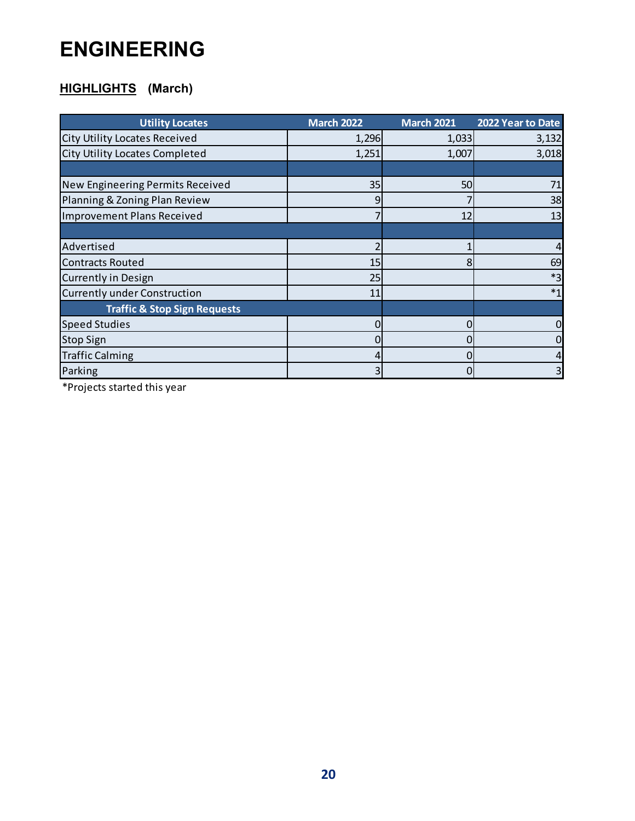## **HIGHLIGHTS (March)**

| <b>Utility Locates</b>                  | <b>March 2022</b> | <b>March 2021</b> | 2022 Year to Date |
|-----------------------------------------|-------------------|-------------------|-------------------|
| <b>City Utility Locates Received</b>    | 1,296             | 1,033             | 3,132             |
| <b>City Utility Locates Completed</b>   | 1,251             | 1,007             | 3,018             |
|                                         |                   |                   |                   |
| New Engineering Permits Received        | 35                | 50                | 71                |
| Planning & Zoning Plan Review           | 9                 |                   | 38                |
| <b>Improvement Plans Received</b>       |                   | 12                | 13                |
|                                         |                   |                   |                   |
| Advertised                              |                   |                   |                   |
| <b>Contracts Routed</b>                 | 15                | 8                 | 69                |
| <b>Currently in Design</b>              | 25                |                   | $*3$              |
| <b>Currently under Construction</b>     | 11                |                   | $*1$              |
| <b>Traffic &amp; Stop Sign Requests</b> |                   |                   |                   |
| <b>Speed Studies</b>                    |                   |                   |                   |
| <b>Stop Sign</b>                        |                   |                   |                   |
| <b>Traffic Calming</b>                  |                   |                   |                   |
| Parking                                 |                   | 0                 |                   |

\*Projects started this year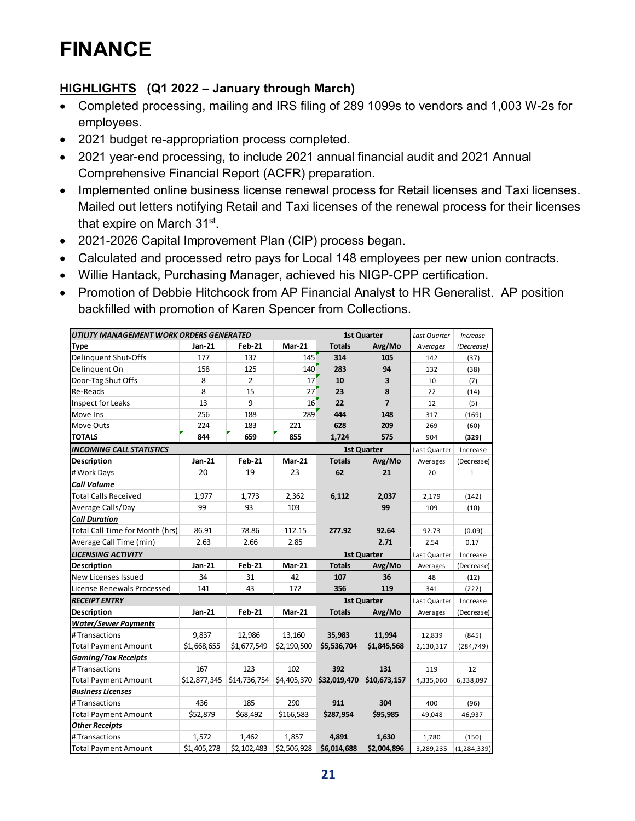# **FINANCE**

### **HIGHLIGHTS (Q1 2022 – January through March)**

- Completed processing, mailing and IRS filing of 289 1099s to vendors and 1,003 W-2s for employees.
- 2021 budget re-appropriation process completed.
- 2021 year-end processing, to include 2021 annual financial audit and 2021 Annual Comprehensive Financial Report (ACFR) preparation.
- Implemented online business license renewal process for Retail licenses and Taxi licenses. Mailed out letters notifying Retail and Taxi licenses of the renewal process for their licenses that expire on March 31<sup>st</sup>.
- 2021-2026 Capital Improvement Plan (CIP) process began.
- Calculated and processed retro pays for Local 148 employees per new union contracts.
- Willie Hantack, Purchasing Manager, achieved his NIGP-CPP certification.
- Promotion of Debbie Hitchcock from AP Financial Analyst to HR Generalist. AP position backfilled with promotion of Karen Spencer from Collections.

| UTILITY MANAGEMENT WORK ORDERS GENERATED |              |                | 1st Quarter   |               | Last Quarter       | <b>Increase</b> |               |
|------------------------------------------|--------------|----------------|---------------|---------------|--------------------|-----------------|---------------|
| <b>Type</b>                              | Jan-21       | <b>Feb-21</b>  | <b>Mar-21</b> | <b>Totals</b> | Avg/Mo             | Averages        | (Decrease)    |
| Delinquent Shut-Offs                     | 177          | 137            | 145           | 314           | 105                | 142             | (37)          |
| Delinquent On                            | 158          | 125            | 140           | 283           | 94                 | 132             | (38)          |
| Door-Tag Shut Offs                       | 8            | $\overline{2}$ | 17            | 10            | 3                  | 10              | (7)           |
| Re-Reads                                 | 8            | 15             | 27            | 23            | 8                  | 22              | (14)          |
| <b>Inspect for Leaks</b>                 | 13           | 9              | 16            | 22            | $\overline{7}$     | 12              | (5)           |
| Move Ins                                 | 256          | 188            | 289           | 444           | 148                | 317             | (169)         |
| Move Outs                                | 224          | 183            | 221           | 628           | 209                | 269             | (60)          |
| <b>TOTALS</b>                            | 844          | 659            | 855           | 1,724         | 575                | 904             | (329)         |
| <b>INCOMING CALL STATISTICS</b>          |              |                |               |               | <b>1st Quarter</b> | Last Quarter    | Increase      |
| <b>Description</b>                       | Jan-21       | <b>Feb-21</b>  | <b>Mar-21</b> | <b>Totals</b> | Avg/Mo             | Averages        | (Decrease)    |
| # Work Days                              | 20           | 19             | 23            | 62            | 21                 | 20              | 1             |
| Call Volume                              |              |                |               |               |                    |                 |               |
| <b>Total Calls Received</b>              | 1,977        | 1,773          | 2,362         | 6,112         | 2,037              | 2,179           | (142)         |
| Average Calls/Day                        | 99           | 93             | 103           |               | 99                 | 109             | (10)          |
| <b>Call Duration</b>                     |              |                |               |               |                    |                 |               |
| Total Call Time for Month (hrs)          | 86.91        | 78.86          | 112.15        | 277.92        | 92.64              | 92.73           | (0.09)        |
| Average Call Time (min)                  | 2.63         | 2.66           | 2.85          |               | 2.71               | 2.54            | 0.17          |
| <b>LICENSING ACTIVITY</b>                |              |                |               | 1st Quarter   |                    | Last Quarter    | Increase      |
| <b>Description</b>                       | Jan-21       | <b>Feb-21</b>  | <b>Mar-21</b> | <b>Totals</b> | Avg/Mo             | Averages        | (Decrease)    |
| New Licenses Issued                      | 34           | 31             | 42            | 107           | 36                 | 48              | (12)          |
| License Renewals Processed               | 141          | 43             | 172           | 356           | 119                | 341             | (222)         |
| <b>RECEIPT ENTRY</b>                     |              |                |               |               | <b>1st Quarter</b> | Last Quarter    | Increase      |
| <b>Description</b>                       | Jan-21       | <b>Feb-21</b>  | <b>Mar-21</b> | <b>Totals</b> | Avg/Mo             | Averages        | (Decrease)    |
| <b>Water/Sewer Payments</b>              |              |                |               |               |                    |                 |               |
| #Transactions                            | 9,837        | 12,986         | 13,160        | 35,983        | 11,994             | 12,839          | (845)         |
| <b>Total Payment Amount</b>              | \$1,668,655  | \$1,677,549    | \$2,190,500   | \$5,536,704   | \$1,845,568        | 2,130,317       | (284, 749)    |
| <b>Gaming/Tax Receipts</b>               |              |                |               |               |                    |                 |               |
| #Transactions                            | 167          | 123            | 102           | 392           | 131                | 119             | 12            |
| <b>Total Payment Amount</b>              | \$12,877,345 | \$14,736,754   | \$4,405,370   | \$32,019,470  | \$10,673,157       | 4,335,060       | 6,338,097     |
| <b>Business Licenses</b>                 |              |                |               |               |                    |                 |               |
| #Transactions                            | 436          | 185            | 290           | 911           | 304                | 400             | (96)          |
| <b>Total Payment Amount</b>              | \$52,879     | \$68,492       | \$166,583     | \$287,954     | \$95,985           | 49,048          | 46,937        |
| <b>Other Receipts</b>                    |              |                |               |               |                    |                 |               |
| #Transactions                            | 1,572        | 1,462          | 1,857         | 4,891         | 1,630              | 1,780           | (150)         |
| <b>Total Payment Amount</b>              | \$1,405,278  | \$2,102,483    | \$2,506,928   | \$6,014,688   | \$2,004,896        | 3,289,235       | (1, 284, 339) |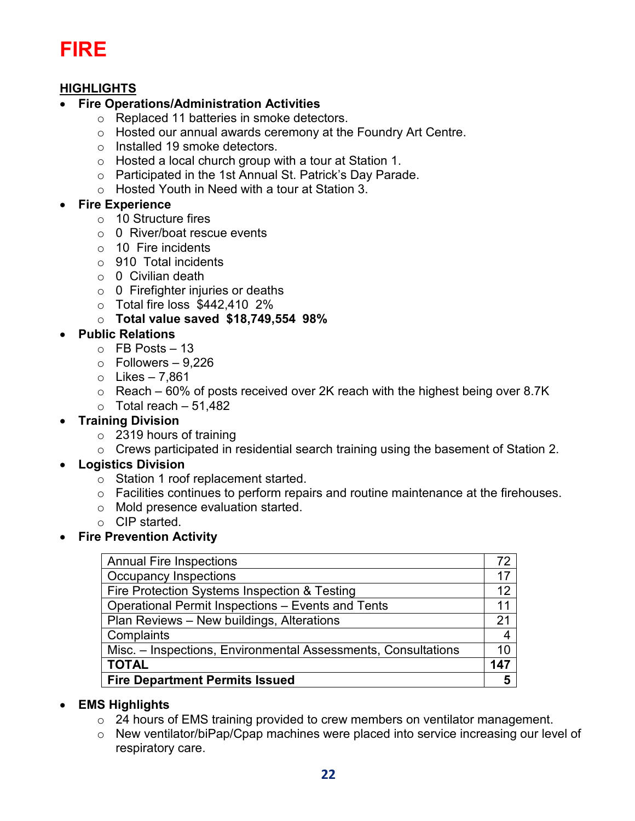# **FIRE**

### **HIGHLIGHTS**

### • **Fire Operations/Administration Activities**

- o Replaced 11 batteries in smoke detectors.
- o Hosted our annual awards ceremony at the Foundry Art Centre.
- o Installed 19 smoke detectors.
- $\circ$  Hosted a local church group with a tour at Station 1.
- o Participated in the 1st Annual St. Patrick's Day Parade.
- o Hosted Youth in Need with a tour at Station 3.

### • **Fire Experience**

- $\circ$  10 Structure fires
- o 0 River/boat rescue events
- $\circ$  10 Fire incidents
- o 910 Total incidents
- $\circ$  0 Civilian death
- $\circ$  0 Firefighter injuries or deaths
- o Total fire loss \$442,410 2%
- o **Total value saved \$18,749,554 98%**

### • **Public Relations**

- $\circ$  FB Posts 13
- $\circ$  Followers 9.226
- $\circ$  Likes 7,861
- $\circ$  Reach 60% of posts received over 2K reach with the highest being over 8.7K
- $\circ$  Total reach 51,482

### • **Training Division**

- $\circ$  2319 hours of training
- $\circ$  Crews participated in residential search training using the basement of Station 2.

### • **Logistics Division**

- o Station 1 roof replacement started.
- o Facilities continues to perform repairs and routine maintenance at the firehouses.
- o Mold presence evaluation started.
- o CIP started.
- **Fire Prevention Activity**

| <b>Annual Fire Inspections</b>                                | 72  |
|---------------------------------------------------------------|-----|
| <b>Occupancy Inspections</b>                                  | 17  |
| Fire Protection Systems Inspection & Testing                  | 12  |
| Operational Permit Inspections - Events and Tents             | 11  |
| Plan Reviews - New buildings, Alterations                     | 21  |
| Complaints                                                    |     |
| Misc. - Inspections, Environmental Assessments, Consultations | 10  |
| <b>TOTAL</b>                                                  | 147 |
| <b>Fire Department Permits Issued</b>                         | 5   |

### • **EMS Highlights**

- o 24 hours of EMS training provided to crew members on ventilator management.
- o New ventilator/biPap/Cpap machines were placed into service increasing our level of respiratory care.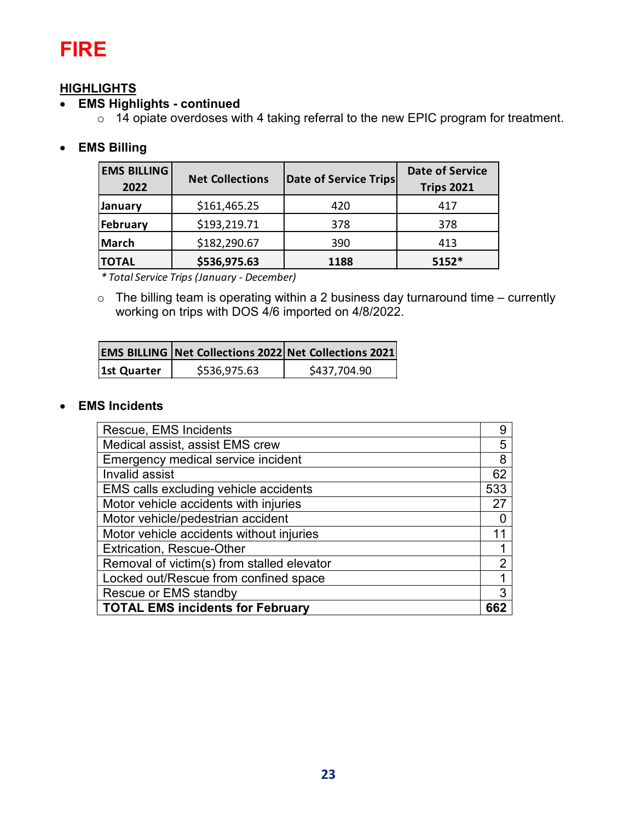# **FIRE**

### **HIGHLIGHTS**

### • **EMS Highlights - continued**

o 14 opiate overdoses with 4 taking referral to the new EPIC program for treatment.

### • **EMS Billing**

| <b>EMS BILLING</b><br>2022 | <b>Net Collections</b> | Date of Service Trips | <b>Date of Service</b><br><b>Trips 2021</b> |
|----------------------------|------------------------|-----------------------|---------------------------------------------|
| January                    | \$161,465.25           | 420                   | 417                                         |
| February                   | \$193,219.71           | 378                   | 378                                         |
| March                      | \$182,290.67           | 390                   | 413                                         |
| <b>TOTAL</b>               | \$536,975.63           | 1188                  | $5152*$                                     |

*\* Total Service Trips (January - December)*

 $\circ$  The billing team is operating within a 2 business day turnaround time – currently working on trips with DOS 4/6 imported on 4/8/2022.

|             |              | <b>EMS BILLING Net Collections 2022 Net Collections 2021</b> |
|-------------|--------------|--------------------------------------------------------------|
| 1st Quarter | \$536,975.63 | \$437,704.90                                                 |

### • **EMS Incidents**

| Rescue, EMS Incidents                      | 9   |
|--------------------------------------------|-----|
| Medical assist, assist EMS crew            | 5   |
| Emergency medical service incident         | 8   |
| Invalid assist                             | 62  |
| EMS calls excluding vehicle accidents      | 533 |
| Motor vehicle accidents with injuries      | 27  |
| Motor vehicle/pedestrian accident          |     |
| Motor vehicle accidents without injuries   |     |
| <b>Extrication, Rescue-Other</b>           |     |
| Removal of victim(s) from stalled elevator | 2   |
| Locked out/Rescue from confined space      |     |
| Rescue or EMS standby                      | 3   |
| <b>TOTAL EMS incidents for February</b>    |     |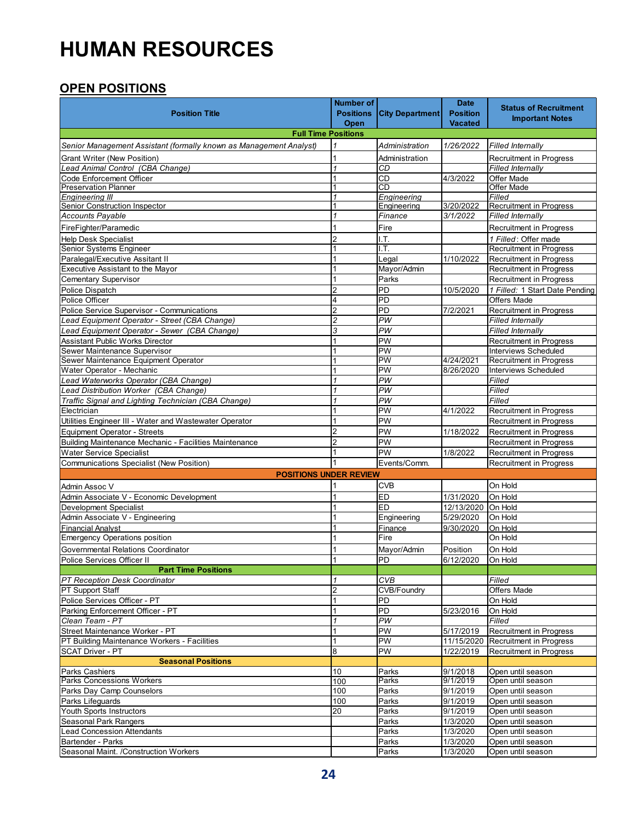# **HUMAN RESOURCES**

### **OPEN POSITIONS**

| <b>Position Title</b>                                                          | <b>Number of</b><br><b>Positions</b> | <b>City Department</b>                | <b>Date</b><br><b>Position</b><br><b>Vacated</b> | <b>Status of Recruitment</b><br><b>Important Notes</b>    |
|--------------------------------------------------------------------------------|--------------------------------------|---------------------------------------|--------------------------------------------------|-----------------------------------------------------------|
| <b>Full Time Positions</b>                                                     | Open                                 |                                       |                                                  |                                                           |
| Senior Management Assistant (formally known as Management Analyst)             |                                      | Administration                        | 1/26/2022                                        | <b>Filled Internally</b>                                  |
| <b>Grant Writer (New Position)</b>                                             | 1                                    | Administration                        |                                                  | Recruitment in Progress                                   |
| Lead Animal Control (CBA Change)                                               | $\mathbf{1}$                         | CD                                    |                                                  | <b>Filled Internally</b>                                  |
| Code Enforcement Officer                                                       |                                      | <b>CD</b>                             | 4/3/2022                                         | Offer Made                                                |
| <b>Preservation Planner</b>                                                    |                                      | CD                                    |                                                  | <b>Offer Made</b>                                         |
| <b>Engineering III</b>                                                         |                                      | Engineering                           |                                                  | Filled                                                    |
| Senior Construction Inspector                                                  | 1                                    | Engineering                           | 3/20/2022                                        | Recruitment in Progress<br>Filled Internally              |
| <b>Accounts Payable</b>                                                        |                                      | Finance                               | 3/1/2022                                         |                                                           |
| FireFighter/Paramedic                                                          |                                      | Fire                                  |                                                  | <b>Recruitment in Progress</b>                            |
| <b>Help Desk Specialist</b>                                                    | $\overline{2}$<br>$\mathbf{1}$       | I.T.                                  |                                                  | 1 Filled: Offer made                                      |
| Senior Systems Engineer<br>Paralegal/Executive Assitant II                     | 1                                    | I.T.<br>Legal                         | 1/10/2022                                        | <b>Recruitment in Progress</b><br>Recruitment in Progress |
| Executive Assistant to the Mayor                                               |                                      | Mayor/Admin                           |                                                  | <b>Recruitment in Progress</b>                            |
| <b>Cementary Supervisor</b>                                                    | 1                                    | Parks                                 |                                                  | <b>Recruitment in Progress</b>                            |
| Police Dispatch                                                                | $\overline{2}$                       | PD                                    | 10/5/2020                                        | 1 Filled: 1 Start Date Pending                            |
| Police Officer                                                                 | 4                                    | PD                                    |                                                  | <b>Offers Made</b>                                        |
| Police Service Supervisor - Communications                                     | $\overline{2}$                       | PD                                    | 7/2/2021                                         | <b>Recruitment in Progress</b>                            |
| Lead Equipment Operator - Street (CBA Change)                                  | $\overline{\mathbf{c}}$              | PW                                    |                                                  | <b>Filled Internally</b>                                  |
| Lead Equipment Operator - Sewer (CBA Change)                                   | 3                                    | PW                                    |                                                  | <b>Filled Internally</b>                                  |
| <b>Assistant Public Works Director</b>                                         | 1                                    | PW                                    |                                                  | <b>Recruitment in Progress</b>                            |
| Sewer Maintenance Supervisor                                                   |                                      | PW                                    |                                                  | Interviews Scheduled                                      |
| Sewer Maintenance Equipment Operator                                           | 1                                    | PW                                    | 4/24/2021                                        | <b>Recruitment in Progress</b>                            |
| Water Operator - Mechanic                                                      | 1                                    | PW                                    | 8/26/2020                                        | <b>Interviews Scheduled</b>                               |
| Lead Waterworks Operator (CBA Change)<br>Lead Distribution Worker (CBA Change) | 1                                    | PW<br>PW                              |                                                  | Filled<br>Filled                                          |
| Traffic Signal and Lighting Technician (CBA Change)                            | $\mathbf{1}$                         | PW                                    |                                                  | Filled                                                    |
| Electrician                                                                    |                                      | PW                                    | 4/1/2022                                         | Recruitment in Progress                                   |
| Utilities Engineer III - Water and Wastewater Operator                         | 1                                    | PW                                    |                                                  | <b>Recruitment in Progress</b>                            |
| Equipment Operator - Streets                                                   | $\overline{2}$                       | PW                                    | 1/18/2022                                        | <b>Recruitment in Progress</b>                            |
| Building Maintenance Mechanic - Facilities Maintenance                         | $\overline{2}$                       | PW                                    |                                                  | <b>Recruitment in Progress</b>                            |
| <b>Water Service Specialist</b>                                                | 1                                    | PW                                    | 1/8/2022                                         | <b>Recruitment in Progress</b>                            |
| Communications Specialist (New Position)                                       |                                      | Events/Comm.                          |                                                  | <b>Recruitment in Progress</b>                            |
| <b>POSITIONS UNDER REVIEW</b>                                                  |                                      |                                       |                                                  |                                                           |
| Admin Assoc V                                                                  |                                      | <b>CVB</b>                            |                                                  | On Hold                                                   |
| Admin Associate V - Economic Development                                       | 1                                    | ED                                    | 1/31/2020                                        | On Hold                                                   |
| <b>Development Specialist</b>                                                  |                                      | ED                                    | 12/13/2020                                       | On Hold                                                   |
| Admin Associate V - Engineering                                                |                                      | Engineering                           | 5/29/2020                                        | On Hold                                                   |
| <b>Financial Analyst</b>                                                       |                                      | Finance                               | 9/30/2020                                        | On Hold                                                   |
| <b>Emergency Operations position</b>                                           |                                      | Fire                                  |                                                  | On Hold                                                   |
| Governmental Relations Coordinator                                             |                                      | Mayor/Admin                           | Position                                         | On Hold                                                   |
| Police Services Officer II                                                     |                                      | PD                                    | 6/12/2020                                        | On Hold                                                   |
| <b>Part Time Positions</b>                                                     |                                      |                                       |                                                  |                                                           |
| <b>PT Reception Desk Coordinator</b>                                           |                                      | <b>CVB</b>                            |                                                  | Filled                                                    |
| <b>PT Support Staff</b><br>Police Services Officer - PT                        | $\overline{2}$                       | <b>CVB/Foundrv</b>                    |                                                  | Offers Made<br>On Hold                                    |
| Parking Enforcement Officer - PT                                               | 1                                    | PD<br>PD                              | 5/23/2016                                        | On Hold                                                   |
| Clean Team - PT                                                                | $\mathcal I$                         | PW                                    |                                                  | Filled                                                    |
| Street Maintenance Worker - PT                                                 | $\mathbf{1}$                         | PW                                    | 5/17/2019                                        | <b>Recruitment in Progress</b>                            |
| PT Building Maintenance Workers - Facilities                                   | $\mathbf{1}$                         | PW                                    |                                                  | 11/15/2020 Recruitment in Progress                        |
| <b>SCAT Driver - PT</b>                                                        | 8                                    | PW                                    | 1/22/2019                                        | Recruitment in Progress                                   |
| <b>Seasonal Positions</b>                                                      |                                      |                                       |                                                  |                                                           |
| Parks Cashiers                                                                 | 10                                   | Parks                                 | 9/1/2018                                         | Open until season                                         |
| <b>Parks Concessions Workers</b>                                               | 100                                  | Parks                                 | 9/1/2019                                         | Open until season                                         |
| Parks Day Camp Counselors                                                      | 100                                  | Parks                                 | 9/1/2019                                         | Open until season                                         |
| Parks Lifeguards                                                               | 100                                  | Parks                                 | 9/1/2019                                         | Open until season                                         |
| Youth Sports Instructors                                                       | 20                                   | Parks                                 | 9/1/2019                                         | Open until season                                         |
| Seasonal Park Rangers                                                          |                                      | Parks<br>$\overline{\mathsf{P}}$ arks | 1/3/2020                                         | Open until season                                         |
| <b>Lead Concession Attendants</b><br><b>Bartender - Parks</b>                  |                                      | Parks                                 | 1/3/2020<br>1/3/2020                             | Open until season<br>Open until season                    |
| Seasonal Maint. /Construction Workers                                          |                                      | Parks                                 | 1/3/2020                                         | Open until season                                         |
|                                                                                |                                      |                                       |                                                  |                                                           |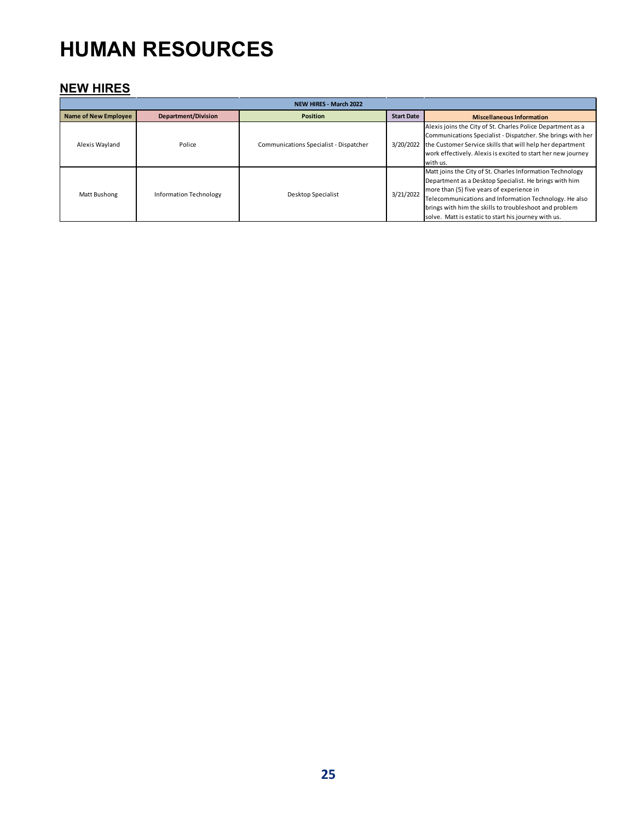# **HUMAN RESOURCES**

### **NEW HIRES**

| <b>NEW HIRES - March 2022</b> |                               |                                        |                   |                                                                                                                                                                                                                                                                                                                                              |  |  |  |  |
|-------------------------------|-------------------------------|----------------------------------------|-------------------|----------------------------------------------------------------------------------------------------------------------------------------------------------------------------------------------------------------------------------------------------------------------------------------------------------------------------------------------|--|--|--|--|
| <b>Name of New Employee</b>   | <b>Department/Division</b>    | <b>Position</b>                        | <b>Start Date</b> | <b>Miscellaneous Information</b>                                                                                                                                                                                                                                                                                                             |  |  |  |  |
| Alexis Wayland                | Police                        | Communications Specialist - Dispatcher | 3/20/2022         | Alexis joins the City of St. Charles Police Department as a<br>Communications Specialist - Dispatcher. She brings with her<br>the Customer Service skills that will help her department<br>work effectively. Alexis is excited to start her new journey<br>with us.                                                                          |  |  |  |  |
| Matt Bushong                  | <b>Information Technology</b> | Desktop Specialist                     | 3/21/2022         | Matt joins the City of St. Charles Information Technology<br>Department as a Desktop Specialist. He brings with him<br>more than (5) five years of experience in<br>Telecommunications and Information Technology. He also<br>brings with him the skills to troubleshoot and problem<br>solve. Matt is estatic to start his journey with us. |  |  |  |  |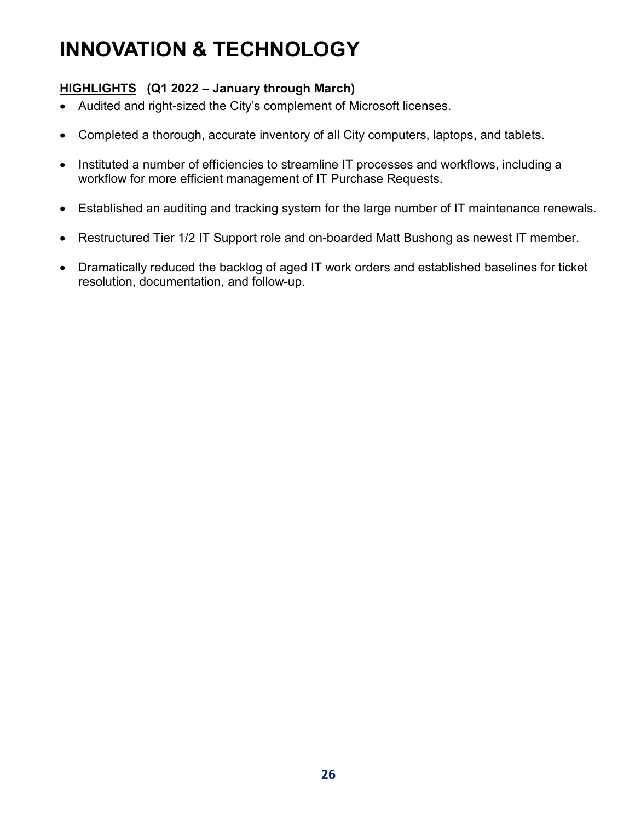# **INNOVATION & TECHNOLOGY**

### **HIGHLIGHTS (Q1 2022 – January through March)**

- Audited and right-sized the City's complement of Microsoft licenses.
- Completed a thorough, accurate inventory of all City computers, laptops, and tablets.
- Instituted a number of efficiencies to streamline IT processes and workflows, including a workflow for more efficient management of IT Purchase Requests.
- Established an auditing and tracking system for the large number of IT maintenance renewals.
- Restructured Tier 1/2 IT Support role and on-boarded Matt Bushong as newest IT member.
- Dramatically reduced the backlog of aged IT work orders and established baselines for ticket resolution, documentation, and follow-up.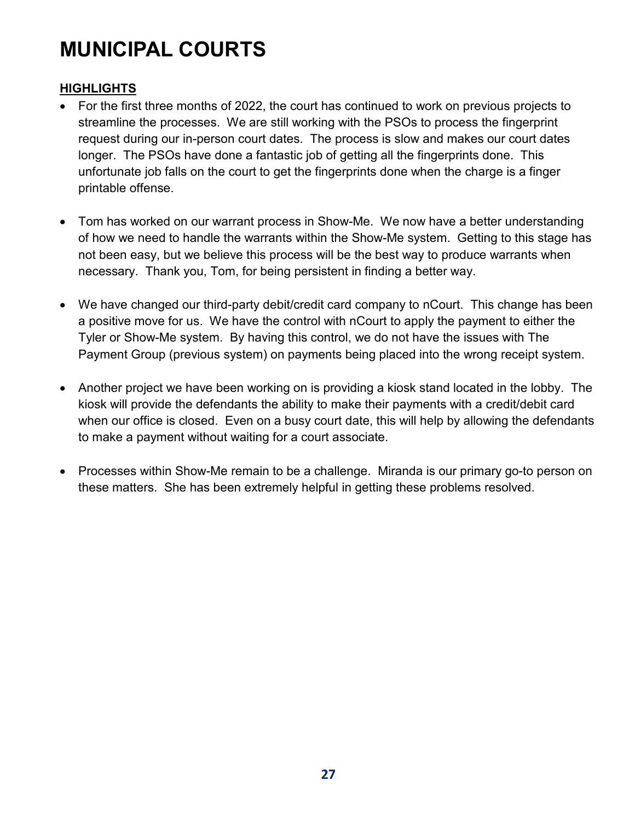# **MUNICIPAL COURTS**

### **HIGHLIGHTS**

- For the first three months of 2022, the court has continued to work on previous projects to streamline the processes. We are still working with the PSOs to process the fingerprint request during our in-person court dates. The process is slow and makes our court dates longer. The PSOs have done a fantastic job of getting all the fingerprints done. This unfortunate job falls on the court to get the fingerprints done when the charge is a finger printable offense.
- Tom has worked on our warrant process in Show-Me. We now have a better understanding of how we need to handle the warrants within the Show-Me system. Getting to this stage has not been easy, but we believe this process will be the best way to produce warrants when necessary. Thank you, Tom, for being persistent in finding a better way.
- We have changed our third-party debit/credit card company to nCourt. This change has been a positive move for us. We have the control with nCourt to apply the payment to either the Tyler or Show-Me system. By having this control, we do not have the issues with The Payment Group (previous system) on payments being placed into the wrong receipt system.
- Another project we have been working on is providing a kiosk stand located in the lobby. The kiosk will provide the defendants the ability to make their payments with a credit/debit card when our office is closed. Even on a busy court date, this will help by allowing the defendants to make a payment without waiting for a court associate.
- Processes within Show-Me remain to be a challenge. Miranda is our primary go-to person on these matters. She has been extremely helpful in getting these problems resolved.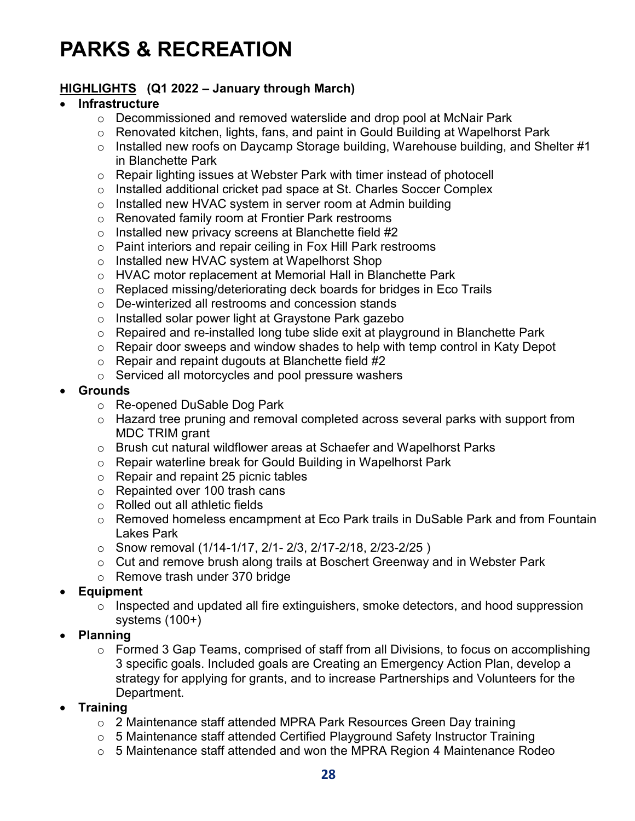# **PARKS & RECREATION**

### **HIGHLIGHTS (Q1 2022 – January through March)**

### • **Infrastructure**

- $\circ$  Decommissioned and removed waterslide and drop pool at McNair Park
- o Renovated kitchen, lights, fans, and paint in Gould Building at Wapelhorst Park
- $\circ$  Installed new roofs on Daycamp Storage building, Warehouse building, and Shelter #1 in Blanchette Park
- $\circ$  Repair lighting issues at Webster Park with timer instead of photocell
- $\circ$  Installed additional cricket pad space at St. Charles Soccer Complex
- o Installed new HVAC system in server room at Admin building
- o Renovated family room at Frontier Park restrooms
- $\circ$  Installed new privacy screens at Blanchette field #2
- o Paint interiors and repair ceiling in Fox Hill Park restrooms
- o Installed new HVAC system at Wapelhorst Shop
- o HVAC motor replacement at Memorial Hall in Blanchette Park
- o Replaced missing/deteriorating deck boards for bridges in Eco Trails
- o De-winterized all restrooms and concession stands
- o Installed solar power light at Graystone Park gazebo
- o Repaired and re-installed long tube slide exit at playground in Blanchette Park
- $\circ$  Repair door sweeps and window shades to help with temp control in Katy Depot
- $\circ$  Repair and repaint dugouts at Blanchette field #2
- o Serviced all motorcycles and pool pressure washers
- **Grounds**
	- o Re-opened DuSable Dog Park
	- o Hazard tree pruning and removal completed across several parks with support from MDC TRIM grant
	- o Brush cut natural wildflower areas at Schaefer and Wapelhorst Parks
	- o Repair waterline break for Gould Building in Wapelhorst Park
	- o Repair and repaint 25 picnic tables
	- o Repainted over 100 trash cans
	- o Rolled out all athletic fields
	- o Removed homeless encampment at Eco Park trails in DuSable Park and from Fountain Lakes Park
	- o Snow removal (1/14-1/17, 2/1- 2/3, 2/17-2/18, 2/23-2/25 )
	- o Cut and remove brush along trails at Boschert Greenway and in Webster Park
	- o Remove trash under 370 bridge
- **Equipment**
	- o Inspected and updated all fire extinguishers, smoke detectors, and hood suppression systems (100+)
- **Planning**
	- o Formed 3 Gap Teams, comprised of staff from all Divisions, to focus on accomplishing 3 specific goals. Included goals are Creating an Emergency Action Plan, develop a strategy for applying for grants, and to increase Partnerships and Volunteers for the Department.
- **Training**
	- o 2 Maintenance staff attended MPRA Park Resources Green Day training
	- o 5 Maintenance staff attended Certified Playground Safety Instructor Training
	- o 5 Maintenance staff attended and won the MPRA Region 4 Maintenance Rodeo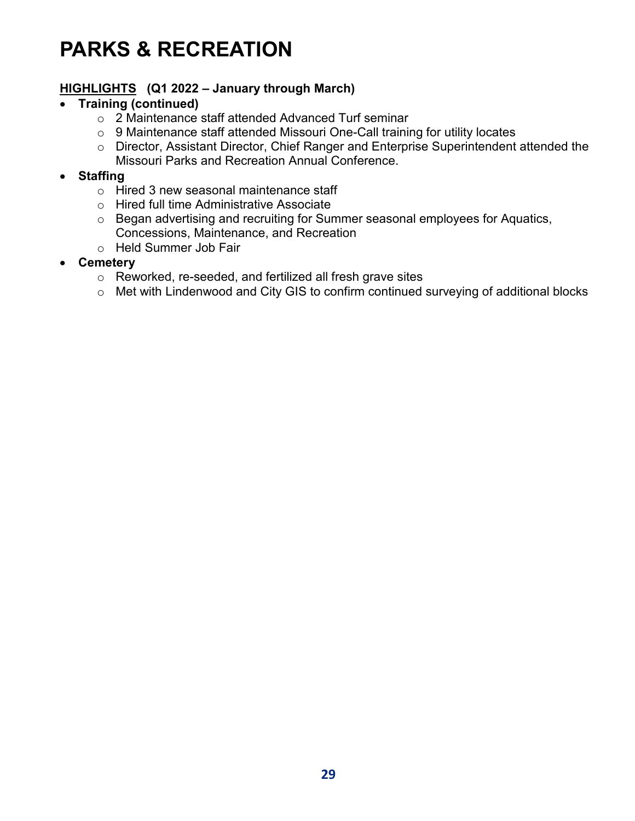# **PARKS & RECREATION**

### **HIGHLIGHTS (Q1 2022 – January through March)**

### • **Training (continued)**

- o 2 Maintenance staff attended Advanced Turf seminar
- o 9 Maintenance staff attended Missouri One-Call training for utility locates
- o Director, Assistant Director, Chief Ranger and Enterprise Superintendent attended the Missouri Parks and Recreation Annual Conference.

### • **Staffing**

- o Hired 3 new seasonal maintenance staff
- o Hired full time Administrative Associate
- o Began advertising and recruiting for Summer seasonal employees for Aquatics, Concessions, Maintenance, and Recreation
- o Held Summer Job Fair
- **Cemetery**
	- o Reworked, re-seeded, and fertilized all fresh grave sites
	- o Met with Lindenwood and City GIS to confirm continued surveying of additional blocks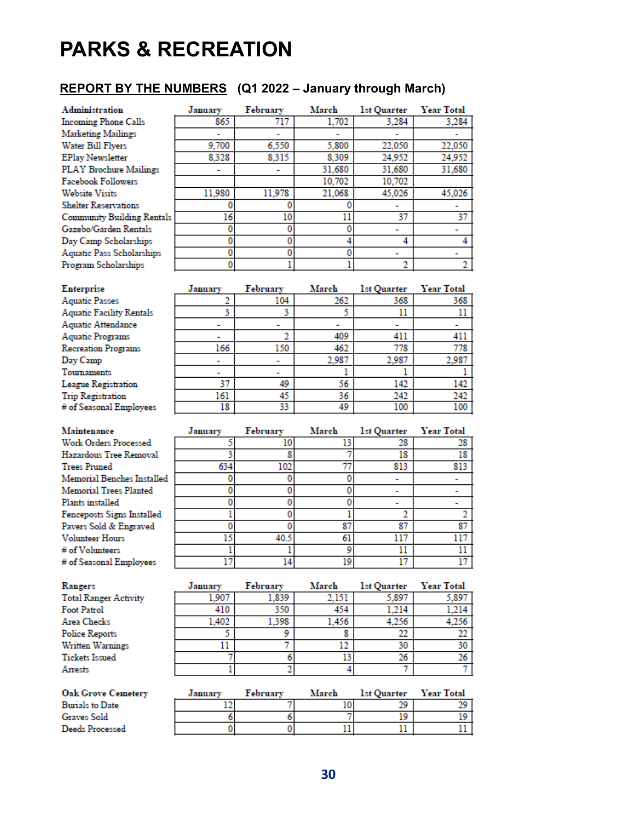# **PARKS & RECREATION**

### **REPORT BY THE NUMBERS (Q1 2022 – January through March)**

| Administration                    | January | February | March  | <b>1st Quarter</b> | <b>Year Total</b> |
|-----------------------------------|---------|----------|--------|--------------------|-------------------|
| <b>Incoming Phone Calls</b>       | 865     | 717      | 1.702  | 3.284              | 3.284             |
| <b>Marketing Mailings</b>         |         |          |        |                    |                   |
| Water Bill Flyers                 | 9,700   | 6,550    | 5,800  | 22.050             | 22,050            |
| <b>EPlay Newsletter</b>           | 8.328   | 8.315    | 8.309  | 24,952             | 24,952            |
| <b>PLAY Brochure Mailings</b>     |         |          | 31.680 | 31.680             | 31.680            |
| <b>Facebook Followers</b>         |         |          | 10,702 | 10,702             |                   |
| <b>Website Visits</b>             | 11,980  | 11,978   | 21.068 | 45.026             | 45,026            |
| <b>Shelter Reservations</b>       |         |          |        |                    |                   |
| <b>Community Building Rentals</b> | 16      | 10       | 11     | 37                 | 37                |
| Gazebo/Garden Rentals             |         |          |        |                    |                   |
| Day Camp Scholarships             |         |          |        | 4                  |                   |
| <b>Aquatic Pass Scholarships</b>  | ٥       |          |        |                    |                   |
| Program Scholarships              |         |          |        | n                  |                   |

| <b>Enterprise</b>               | January                  | February       | March | <b>1st Quarter</b> | Year Total |
|---------------------------------|--------------------------|----------------|-------|--------------------|------------|
| <b>Aquatic Passes</b>           |                          | 104            | 262   | 368                | 368        |
| <b>Aquatic Facility Rentals</b> |                          |                |       | 11                 |            |
| Aquatic Attendance              |                          |                |       |                    |            |
| <b>Aquatic Programs</b>         |                          |                | 409   | 411                | 411        |
| <b>Recreation Programs</b>      | 166                      | 150            | 462   | 778                | 778        |
| Day Camp                        |                          |                | 2.987 | 2.987              | 2,987      |
| <b>Tournaments</b>              | $\overline{\phantom{a}}$ | $\blacksquare$ |       |                    |            |
| League Registration             | 37                       | 49             | 56    | 142                | 142        |
| <b>Trip Registration</b>        | 161                      | 45             | 36    | 242                | 242        |
| # of Seasonal Employees         | 18                       | 33             | 49    | 100                | 100        |

| Maintenance                | January | February | March | 1st Quarter Year Total |     |
|----------------------------|---------|----------|-------|------------------------|-----|
| Work Orders Processed      |         | 10       | 13    | 28                     | 28  |
| Hazardous Tree Removal     |         |          |       | 18                     | 18  |
| <b>Trees Pruned</b>        | 634     | 102      | 77    | 813                    | 813 |
| Memorial Benches Installed |         |          |       |                        |     |
| Memorial Trees Planted     |         |          |       |                        |     |
| Plants installed           |         |          |       |                        |     |
| Fenceposts Signs Installed |         |          |       |                        |     |
| Pavers Sold & Engraved     |         |          | 87    | 87                     | 87  |
| <b>Volunteer Hours</b>     |         | 40.5     | 61    | 117                    |     |
| # of Volunteers            |         |          |       | 11                     |     |
| # of Seasonal Employees    |         | 14       | 19    | 17                     |     |

| Rangers                      | January | February | March | <b>1st Quarter</b> | Year Total |
|------------------------------|---------|----------|-------|--------------------|------------|
| <b>Total Ranger Activity</b> | 1.907   | 1.839    | 2.151 | 5.897              | 5.897      |
| Foot Patrol                  | 410     | 350      | 454   | 1.214              | 1.214      |
| Area Checks                  | 1.402   | 1.398    | 1.456 | 4.256              | 4,256      |
| <b>Police Reports</b>        |         |          |       | 22                 | 22         |
| Written Warnings             |         |          |       | 30                 | 30         |
| <b>Tickets Issued</b>        |         |          |       | 26                 | 26         |
| Arrests                      |         |          |       |                    |            |
|                              |         |          |       |                    |            |

| <b>Oak Grove Cemetery</b> | Januarv | February | March | <b>1st Ouarter</b> | Year Total |
|---------------------------|---------|----------|-------|--------------------|------------|
| <b>Burials to Date</b>    |         |          |       |                    |            |
| Graves Sold               |         |          |       |                    |            |
| Deeds Processed           |         |          |       |                    |            |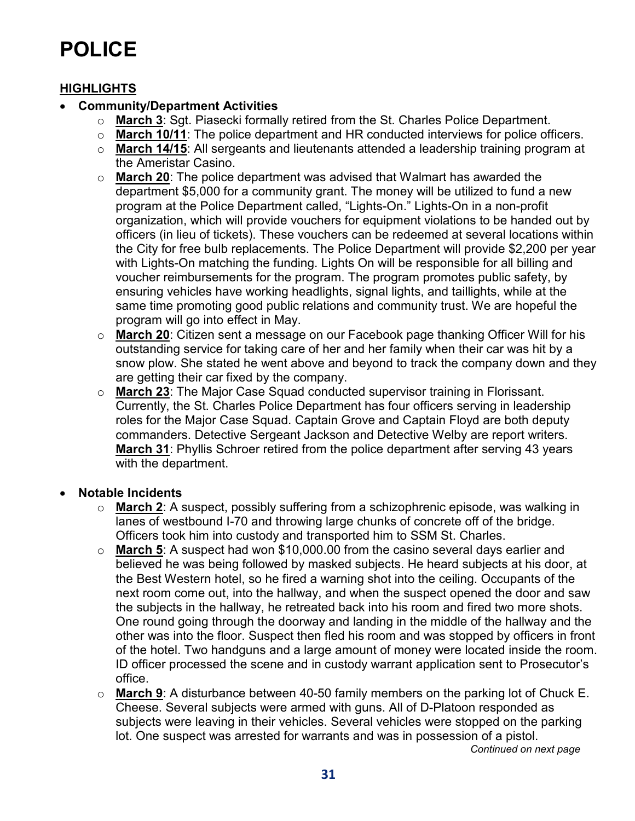# **POLICE**

### **HIGHLIGHTS**

### • **Community/Department Activities**

- o **March 3**: Sgt. Piasecki formally retired from the St. Charles Police Department.
- o **March 10/11**: The police department and HR conducted interviews for police officers.
- o **March 14/15**: All sergeants and lieutenants attended a leadership training program at the Ameristar Casino.
- o **March 20**: The police department was advised that Walmart has awarded the department \$5,000 for a community grant. The money will be utilized to fund a new program at the Police Department called, "Lights-On." Lights-On in a non-profit organization, which will provide vouchers for equipment violations to be handed out by officers (in lieu of tickets). These vouchers can be redeemed at several locations within the City for free bulb replacements. The Police Department will provide \$2,200 per year with Lights-On matching the funding. Lights On will be responsible for all billing and voucher reimbursements for the program. The program promotes public safety, by ensuring vehicles have working headlights, signal lights, and taillights, while at the same time promoting good public relations and community trust. We are hopeful the program will go into effect in May.
- o **March 20**: Citizen sent a message on our Facebook page thanking Officer Will for his outstanding service for taking care of her and her family when their car was hit by a snow plow. She stated he went above and beyond to track the company down and they are getting their car fixed by the company.
- o **March 23**: The Major Case Squad conducted supervisor training in Florissant. Currently, the St. Charles Police Department has four officers serving in leadership roles for the Major Case Squad. Captain Grove and Captain Floyd are both deputy commanders. Detective Sergeant Jackson and Detective Welby are report writers. **March 31**: Phyllis Schroer retired from the police department after serving 43 years with the department.

### • **Notable Incidents**

- o **March 2**: A suspect, possibly suffering from a schizophrenic episode, was walking in lanes of westbound I-70 and throwing large chunks of concrete off of the bridge. Officers took him into custody and transported him to SSM St. Charles.
- o **March 5**: A suspect had won \$10,000.00 from the casino several days earlier and believed he was being followed by masked subjects. He heard subjects at his door, at the Best Western hotel, so he fired a warning shot into the ceiling. Occupants of the next room come out, into the hallway, and when the suspect opened the door and saw the subjects in the hallway, he retreated back into his room and fired two more shots. One round going through the doorway and landing in the middle of the hallway and the other was into the floor. Suspect then fled his room and was stopped by officers in front of the hotel. Two handguns and a large amount of money were located inside the room. ID officer processed the scene and in custody warrant application sent to Prosecutor's office.
- o **March 9**: A disturbance between 40-50 family members on the parking lot of Chuck E. Cheese. Several subjects were armed with guns. All of D-Platoon responded as subjects were leaving in their vehicles. Several vehicles were stopped on the parking lot. One suspect was arrested for warrants and was in possession of a pistol.

*Continued on next page*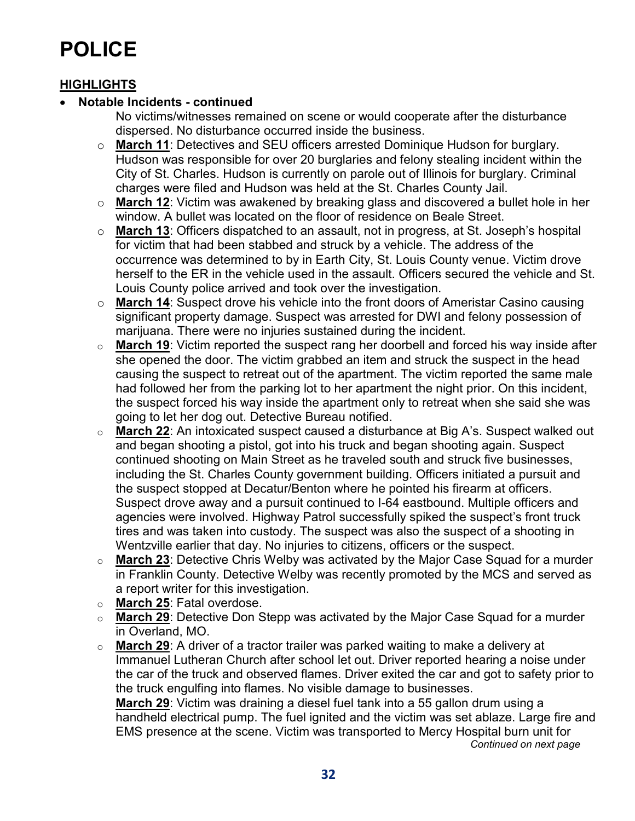# **POLICE**

### **HIGHLIGHTS**

### • **Notable Incidents - continued**

No victims/witnesses remained on scene or would cooperate after the disturbance dispersed. No disturbance occurred inside the business.

- o **March 11**: Detectives and SEU officers arrested Dominique Hudson for burglary. Hudson was responsible for over 20 burglaries and felony stealing incident within the City of St. Charles. Hudson is currently on parole out of Illinois for burglary. Criminal charges were filed and Hudson was held at the St. Charles County Jail.
- o **March 12**: Victim was awakened by breaking glass and discovered a bullet hole in her window. A bullet was located on the floor of residence on Beale Street.
- o **March 13**: Officers dispatched to an assault, not in progress, at St. Joseph's hospital for victim that had been stabbed and struck by a vehicle. The address of the occurrence was determined to by in Earth City, St. Louis County venue. Victim drove herself to the ER in the vehicle used in the assault. Officers secured the vehicle and St. Louis County police arrived and took over the investigation.
- o **March 14**: Suspect drove his vehicle into the front doors of Ameristar Casino causing significant property damage. Suspect was arrested for DWI and felony possession of marijuana. There were no injuries sustained during the incident.
- o **March 19**: Victim reported the suspect rang her doorbell and forced his way inside after she opened the door. The victim grabbed an item and struck the suspect in the head causing the suspect to retreat out of the apartment. The victim reported the same male had followed her from the parking lot to her apartment the night prior. On this incident, the suspect forced his way inside the apartment only to retreat when she said she was going to let her dog out. Detective Bureau notified.
- o **March 22**: An intoxicated suspect caused a disturbance at Big A's. Suspect walked out and began shooting a pistol, got into his truck and began shooting again. Suspect continued shooting on Main Street as he traveled south and struck five businesses, including the St. Charles County government building. Officers initiated a pursuit and the suspect stopped at Decatur/Benton where he pointed his firearm at officers. Suspect drove away and a pursuit continued to I-64 eastbound. Multiple officers and agencies were involved. Highway Patrol successfully spiked the suspect's front truck tires and was taken into custody. The suspect was also the suspect of a shooting in Wentzville earlier that day. No injuries to citizens, officers or the suspect.
- o **March 23**: Detective Chris Welby was activated by the Major Case Squad for a murder in Franklin County. Detective Welby was recently promoted by the MCS and served as a report writer for this investigation.
- o **March 25**: Fatal overdose.
- o **March 29**: Detective Don Stepp was activated by the Major Case Squad for a murder in Overland, MO.
- o **March 29**: A driver of a tractor trailer was parked waiting to make a delivery at Immanuel Lutheran Church after school let out. Driver reported hearing a noise under the car of the truck and observed flames. Driver exited the car and got to safety prior to the truck engulfing into flames. No visible damage to businesses. **March 29**: Victim was draining a diesel fuel tank into a 55 gallon drum using a handheld electrical pump. The fuel ignited and the victim was set ablaze. Large fire and EMS presence at the scene. Victim was transported to Mercy Hospital burn unit for

*Continued on next page*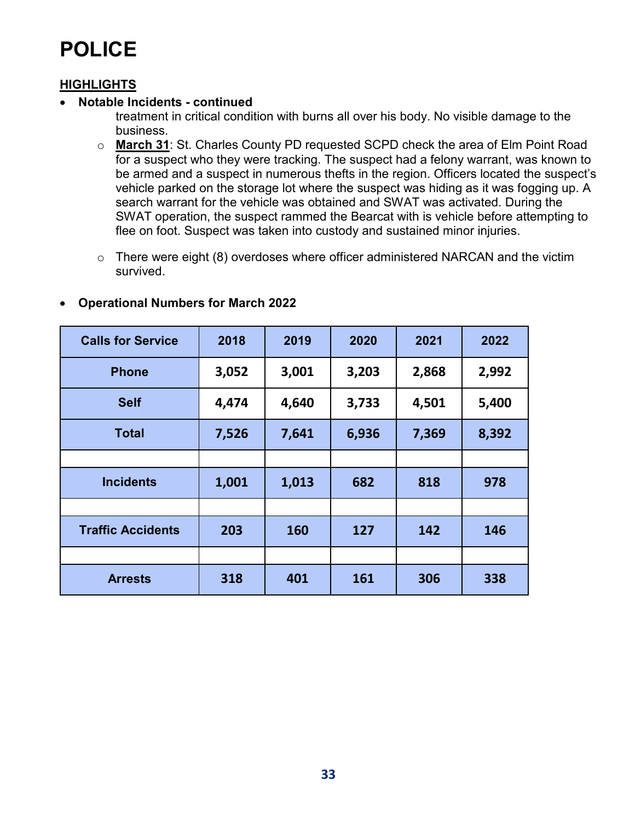# **POLICE**

### **HIGHLIGHTS**

### • **Notable Incidents - continued**

treatment in critical condition with burns all over his body. No visible damage to the business.

- o **March 31**: St. Charles County PD requested SCPD check the area of Elm Point Road for a suspect who they were tracking. The suspect had a felony warrant, was known to be armed and a suspect in numerous thefts in the region. Officers located the suspect's vehicle parked on the storage lot where the suspect was hiding as it was fogging up. A search warrant for the vehicle was obtained and SWAT was activated. During the SWAT operation, the suspect rammed the Bearcat with is vehicle before attempting to flee on foot. Suspect was taken into custody and sustained minor injuries.
- o There were eight (8) overdoses where officer administered NARCAN and the victim survived.

| <b>Calls for Service</b> | 2018  | 2019  | 2020  | 2021  | 2022  |
|--------------------------|-------|-------|-------|-------|-------|
| <b>Phone</b>             | 3,052 | 3,001 | 3,203 | 2,868 | 2,992 |
| <b>Self</b>              | 4,474 | 4,640 | 3,733 | 4,501 | 5,400 |
| <b>Total</b>             | 7,526 | 7,641 | 6,936 | 7,369 | 8,392 |
|                          |       |       |       |       |       |
| <b>Incidents</b>         | 1,001 | 1,013 | 682   | 818   | 978   |
|                          |       |       |       |       |       |
| <b>Traffic Accidents</b> | 203   | 160   | 127   | 142   | 146   |
|                          |       |       |       |       |       |
| <b>Arrests</b>           | 318   | 401   | 161   | 306   | 338   |

#### • **Operational Numbers for March 2022**